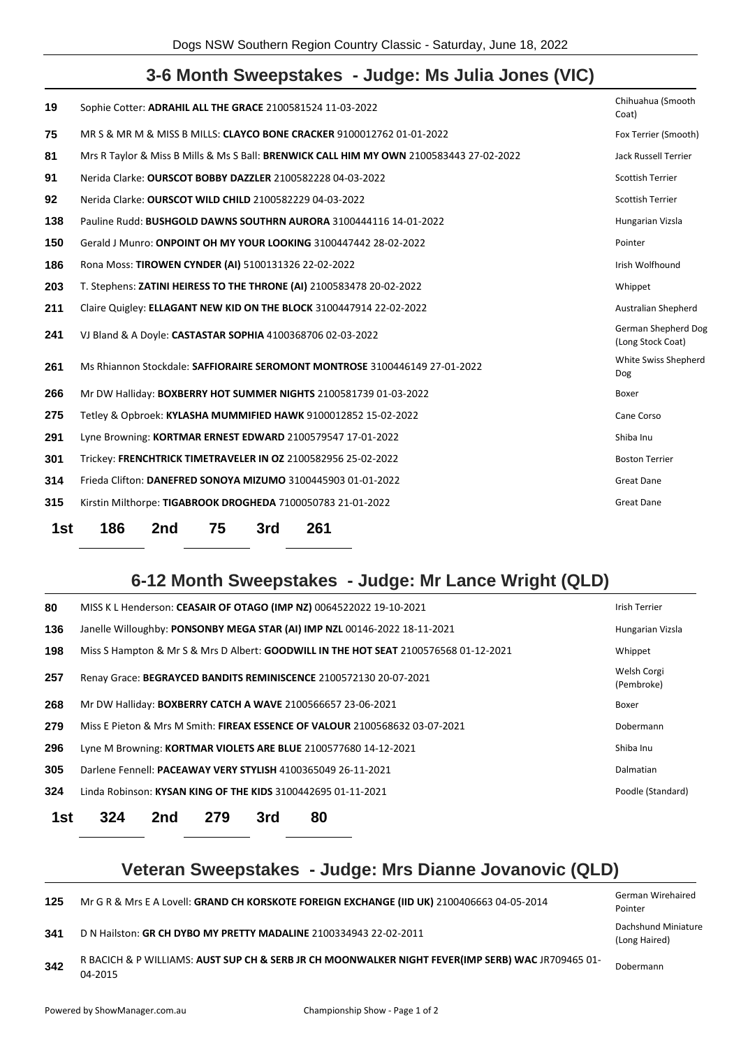# **3-6 Month Sweepstakes - Judge: Ms Julia Jones (VIC)**

| 19  | Sophie Cotter: ADRAHIL ALL THE GRACE 2100581524 11-03-2022                              | Chihuahua (Smooth<br>Coat)                      |
|-----|-----------------------------------------------------------------------------------------|-------------------------------------------------|
| 75  | MR S & MR M & MISS B MILLS: CLAYCO BONE CRACKER 9100012762 01-01-2022                   | Fox Terrier (Smooth)                            |
| 81  | Mrs R Taylor & Miss B Mills & Ms S Ball: BRENWICK CALL HIM MY OWN 2100583443 27-02-2022 | <b>Jack Russell Terrier</b>                     |
| 91  | Nerida Clarke: OURSCOT BOBBY DAZZLER 2100582228 04-03-2022                              | <b>Scottish Terrier</b>                         |
| 92  | Nerida Clarke: OURSCOT WILD CHILD 2100582229 04-03-2022                                 | <b>Scottish Terrier</b>                         |
| 138 | Pauline Rudd: BUSHGOLD DAWNS SOUTHRN AURORA 3100444116 14-01-2022                       | Hungarian Vizsla                                |
| 150 | Gerald J Munro: ONPOINT OH MY YOUR LOOKING 3100447442 28-02-2022                        | Pointer                                         |
| 186 | Rona Moss: TIROWEN CYNDER (AI) 5100131326 22-02-2022                                    | Irish Wolfhound                                 |
| 203 | T. Stephens: ZATINI HEIRESS TO THE THRONE (AI) 2100583478 20-02-2022                    | Whippet                                         |
| 211 | Claire Quigley: ELLAGANT NEW KID ON THE BLOCK 3100447914 22-02-2022                     | Australian Shepherd                             |
| 241 | VJ Bland & A Doyle: CASTASTAR SOPHIA 4100368706 02-03-2022                              | <b>German Shepherd Dog</b><br>(Long Stock Coat) |
| 261 | Ms Rhiannon Stockdale: SAFFIORAIRE SEROMONT MONTROSE 3100446149 27-01-2022              | White Swiss Shepherd<br><b>Dog</b>              |
| 266 | Mr DW Halliday: BOXBERRY HOT SUMMER NIGHTS 2100581739 01-03-2022                        | Boxer                                           |
| 275 | Tetley & Opbroek: KYLASHA MUMMIFIED HAWK 9100012852 15-02-2022                          | Cane Corso                                      |
| 291 | Lyne Browning: KORTMAR ERNEST EDWARD 2100579547 17-01-2022                              | Shiba Inu                                       |
| 301 | Trickey: FRENCHTRICK TIMETRAVELER IN OZ 2100582956 25-02-2022                           | <b>Boston Terrier</b>                           |
| 314 | Frieda Clifton: DANEFRED SONOYA MIZUMO 3100445903 01-01-2022                            | <b>Great Dane</b>                               |
| 315 | Kirstin Milthorpe: TIGABROOK DROGHEDA 7100050783 21-01-2022                             | <b>Great Dane</b>                               |
| 1st | 186<br>75<br>261<br>2nd<br>3rd                                                          |                                                 |

# **6-12 Month Sweepstakes - Judge: Mr Lance Wright (QLD)**

| 1st | 324 | 2nd | 279 | 3rd | 80                                                                                          |                           |
|-----|-----|-----|-----|-----|---------------------------------------------------------------------------------------------|---------------------------|
| 324 |     |     |     |     | Linda Robinson: KYSAN KING OF THE KIDS 3100442695 01-11-2021                                | Poodle (Standard)         |
| 305 |     |     |     |     | Darlene Fennell: PACEAWAY VERY STYLISH 4100365049 26-11-2021                                | Dalmatian                 |
| 296 |     |     |     |     | Lyne M Browning: KORTMAR VIOLETS ARE BLUE 2100577680 14-12-2021                             | Shiba Inu                 |
| 279 |     |     |     |     | Miss E Pieton & Mrs M Smith: FIREAX ESSENCE OF VALOUR 2100568632 03-07-2021                 | Dobermann                 |
| 268 |     |     |     |     | Mr DW Halliday: BOXBERRY CATCH A WAVE 2100566657 23-06-2021                                 | Boxer                     |
| 257 |     |     |     |     | Renay Grace: BEGRAYCED BANDITS REMINISCENCE 2100572130 20-07-2021                           | Welsh Corgi<br>(Pembroke) |
| 198 |     |     |     |     | Miss S Hampton & Mr S & Mrs D Albert: <b>GOODWILL IN THE HOT SEAT</b> 2100576568 01-12-2021 | Whippet                   |
| 136 |     |     |     |     | Janelle Willoughby: PONSONBY MEGA STAR (AI) IMP NZL 00146-2022 18-11-2021                   | Hungarian Vizsla          |
| 80  |     |     |     |     | MISS K L Henderson: CEASAIR OF OTAGO (IMP NZ) 0064522022 19-10-2021                         | <b>Irish Terrier</b>      |

# **Veteran Sweepstakes - Judge: Mrs Dianne Jovanovic (QLD)**

Mr G R & Mrs E A Lovell: **GRAND CH KORSKOTE FOREIGN EXCHANGE (IID UK)** 2100406663 04-05-2014 German Wirehaired

D N Hailston: **GR CH DYBO MY PRETTY MADALINE** 2100334943 22-02-2011 Dachshund Miniature

 R BACICH & P WILLIAMS: **AUST SUP CH & SERB JR CH MOONWALKER NIGHT FEVER(IMP SERB) WAC** JR709465 01- 04-2015

Pointer

(Long Haired)

Dobermann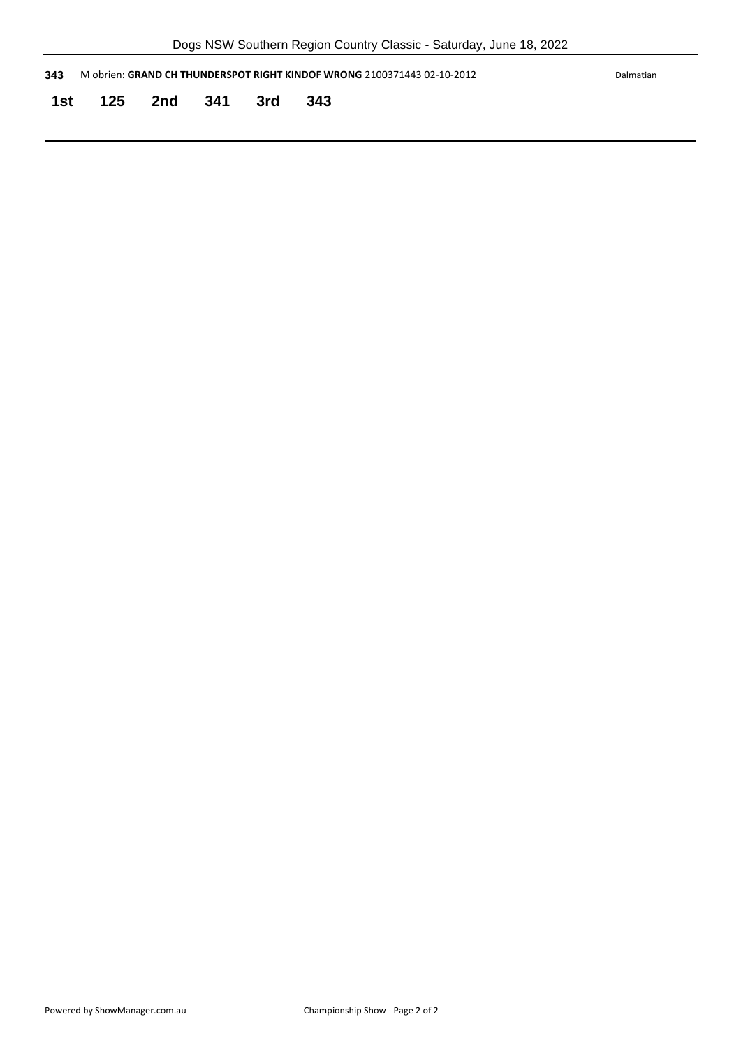|     | Dogs NSW Southern Region Country Classic - Saturday, June 18, 2022                   |                 |  |  |       |  |  |  |  |
|-----|--------------------------------------------------------------------------------------|-----------------|--|--|-------|--|--|--|--|
| 343 | M obrien: GRAND CH THUNDERSPOT RIGHT KINDOF WRONG 2100371443 02-10-2012<br>Dalmatian |                 |  |  |       |  |  |  |  |
| 1st |                                                                                      | 125 2nd 341 3rd |  |  | - 343 |  |  |  |  |
|     |                                                                                      |                 |  |  |       |  |  |  |  |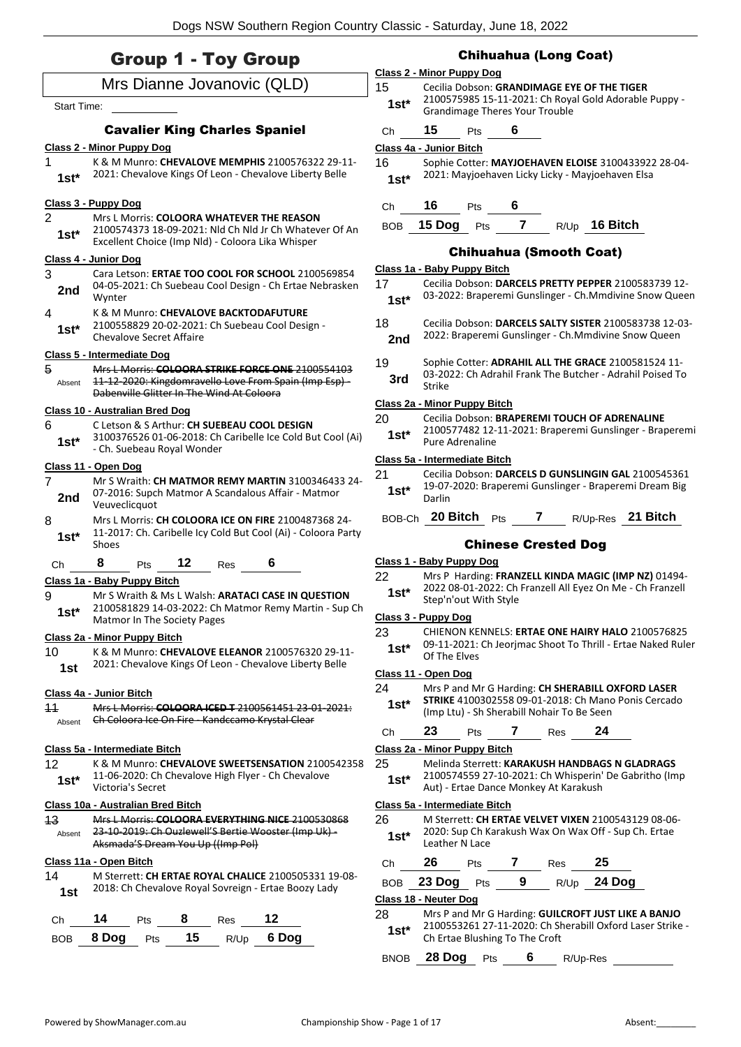# Group 1 - Toy Group Mrs Dianne Jovanovic (QLD) Start Time: Cavalier King Charles Spaniel **Class 2 - Minor Puppy Dog** 1 K & M Munro: **CHEVALOVE MEMPHIS** 2100576322 29-11- 1st\* 2021: Chevalove Kings Of Leon - Chevalove Liberty Belle **Class 3 - Puppy Dog** 2 Mrs L Morris: **COLOORA WHATEVER THE REASON** 2100574373 18-09-2021: Nld Ch Nld Jr Ch Whatever Of An Excellent Choice (Imp Nld) - Coloora Lika Whisper **1st\* Class 4 - Junior Dog** 3 Cara Letson: **ERTAE TOO COOL FOR SCHOOL** 2100569854 04-05-2021: Ch Suebeau Cool Design - Ch Ertae Nebrasken **2nd**  $\frac{04-05-2}{\text{Wvnter}}$ 4 K & M Munro: **CHEVALOVE BACKTODAFUTURE** 2100558829 20-02-2021: Ch Suebeau Cool Design - **1st\*** <u>LALCONS</u><br>Chevalove Secret Affaire **Class 5 - Intermediate Dog** 5 Mrs L Morris: **COLOORA STRIKE FORCE ONE** 2100554103 11-12-2020: Kingdomravello Love From Spain (Imp Esp) - Dabenville Glitter In The Wind At Coloora Absent **Class 10 - Australian Bred Dog** 6 C Letson & S Arthur: **CH SUEBEAU COOL DESIGN** 3100376526 01-06-2018: Ch Caribelle Ice Cold But Cool (Ai) 1st<sup>\*</sup> <sup>5100376526</sup> UI-06-2018: Ch. Suebeau Royal Wonder **Class 11 - Open Dog** 7 Mr S Wraith: **CH MATMOR REMY MARTIN** 3100346433 24- 07-2016: Supch Matmor A Scandalous Affair - Matmor **2nd** <sup>U</sup><sup>-2U16</sup>: Supc<br>Veuveclicquot 8 Mrs L Morris: **CH COLOORA ICE ON FIRE** 2100487368 24- 11-2017: Ch. Caribelle Icy Cold But Cool (Ai) - Coloora Party  $1$ st<sup>\*</sup>  $\frac{11-20}{5}$ Ch **8** Pts **12** Res **6 Class 1a - Baby Puppy Bitch** 9 Mr S Wraith & Ms L Walsh: **ARATACI CASE IN QUESTION** 2100581829 14-03-2022: Ch Matmor Remy Martin - Sup Ch **1st\*** 2100581829 14-03-2022: Ch **Class 2a - Minor Puppy Bitch** 10 K & M Munro: **CHEVALOVE ELEANOR** 2100576320 29-11- 1st 2021: Chevalove Kings Of Leon - Chevalove Liberty Belle **Class 4a - Junior Bitch** 11 Mrs L Morris: **COLOORA ICED T** 2100561451 23-01-2021: Absent **Ch Coloora Ice On Fire - Kandccamo Krystal Clear Class 5a - Intermediate Bitch** 12 K & M Munro: **CHEVALOVE SWEETSENSATION** 2100542358 11-06-2020: Ch Chevalove High Flyer - Ch Chevalove 1st<sup>\*</sup> <sup>11-06-2020: Ch</sub></sup> **Class 10a - Australian Bred Bitch** 13 Mrs L Morris: **COLOORA EVERYTHING NICE** 2100530868 23-10-2019: Ch Ouzlewell'S Bertie Wooster (Imp Uk) - Aksmada'S Dream You Up ((Imp Pol) Absent **Class 11a - Open Bitch** 14 M Sterrett: **CH ERTAE ROYAL CHALICE** 2100505331 19-08- 2018: Ch Chevalove Royal Sovreign - Ertae Boozy Lady **1st** Ch **14** Pts **8** Res **12**

BOB **8 Dog** Pts **15** R/Up **6 Dog**

# Chihuahua (Long Coat)

# **Class 2 - Minor Puppy Dog**

15 Cecilia Dobson: **GRANDIMAGE EYE OF THE TIGER** 2100575985 15-11-2021: Ch Royal Gold Adorable Puppy - Grandimage Theres Your Trouble **1st\*** Ch **15** Pts **6**

# **Class 4a - Junior Bitch**

16 Sophie Cotter: **MAYJOEHAVEN ELOISE** 3100433922 28-04- 1st\* 2021: Mayjoehaven Licky Licky - Mayjoehaven Elsa

# Ch **16** Pts **6**

# BOB **15 Dog** Pts **7** R/Up **16 Bitch**

# Chihuahua (Smooth Coat)

# **Class 1a - Baby Puppy Bitch**

| -17    | Cecilia Dobson: DARCELS PRETTY PEPPER 2100583739 12-    |
|--------|---------------------------------------------------------|
| $1st*$ | 03-2022: Braperemi Gunslinger - Ch. Mmdivine Snow Queen |
|        |                                                         |

- 18 Cecilia Dobson: **DARCELS SALTY SISTER** 2100583738 12-03- 2nd 2022: Braperemi Gunslinger - Ch. Mmdivine Snow Queen
- 19 Sophie Cotter: **ADRAHIL ALL THE GRACE** 2100581524 11-
- 03-2022: Ch Adrahil Frank The Butcher Adrahil Poised To **3rd Strike**

## **Class 2a - Minor Puppy Bitch**

- 20 Cecilia Dobson: **BRAPEREMI TOUCH OF ADRENALINE**
- 2100577482 12-11-2021: Braperemi Gunslinger Braperemi Pure Adrenaline **1st\***

## **Class 5a - Intermediate Bitch**

- 21 Cecilia Dobson: **DARCELS D GUNSLINGIN GAL** 2100545361 19-07-2020: Braperemi Gunslinger - Braperemi Dream Big 1st<sup>\*</sup> <sup>19-07</sup>
- BOB-Ch **20 Bitch** Pts **7** R/Up-Res **21 Bitch**

# Chinese Crested Dog

# **Class 1 - Baby Puppy Dog**

22 Mrs P Harding: **FRANZELL KINDA MAGIC (IMP NZ)** 01494- 2022 08-01-2022: Ch Franzell All Eyez On Me - Ch Franzell 1st\* 2022 08-01-2022: Ch<br>Step'n'out With Style

# **Class 3 - Puppy Dog**

23 CHIENON KENNELS: **ERTAE ONE HAIRY HALO** 2100576825 09-11-2021: Ch Jeorjmac Shoot To Thrill - Ertae Naked Ruler **1st**\* UP-11-2021:<br>Of The Elves

# **Class 11 - Open Dog**

- 24 Mrs P and Mr G Harding: **CH SHERABILL OXFORD LASER STRIKE** 4100302558 09-01-2018: Ch Mano Ponis Cercado
	- (Imp Ltu) Sh Sherabill Nohair To Be Seen **1st\***

# Ch **23** Pts **7** Res **24**

#### **Class 2a - Minor Puppy Bitch**

#### 25 Melinda Sterrett: **KARAKUSH HANDBAGS N GLADRAGS** 2100574559 27-10-2021: Ch Whisperin' De Gabritho (Imp

Aut) - Ertae Dance Monkey At Karakush **1st\***

#### **Class 5a - Intermediate Bitch**

26 M Sterrett: **CH ERTAE VELVET VIXEN** 2100543129 08-06- 2020: Sup Ch Karakush Wax On Wax Off - Sup Ch. Ertae **1st**\* <sup>2020:</sup> Sup Cn K<br>Leather N Lace

| Ch | 26             | <b>Pts</b> |     | Res | - 25               |
|----|----------------|------------|-----|-----|--------------------|
|    | BOB 23 Dog Pts |            | - 9 |     | R/Up <b>24 Dog</b> |

#### **Class 18 - Neuter Dog**

- 28 Mrs P and Mr G Harding: **GUILCROFT JUST LIKE A BANJO** 2100553261 27-11-2020: Ch Sherabill Oxford Laser Strike - **1st**\* 2100553261 27-11-2020: Ch Sr<br>Ch Ertae Blushing To The Croft
- BNOB **28 Dog** Pts **6** R/Up-Res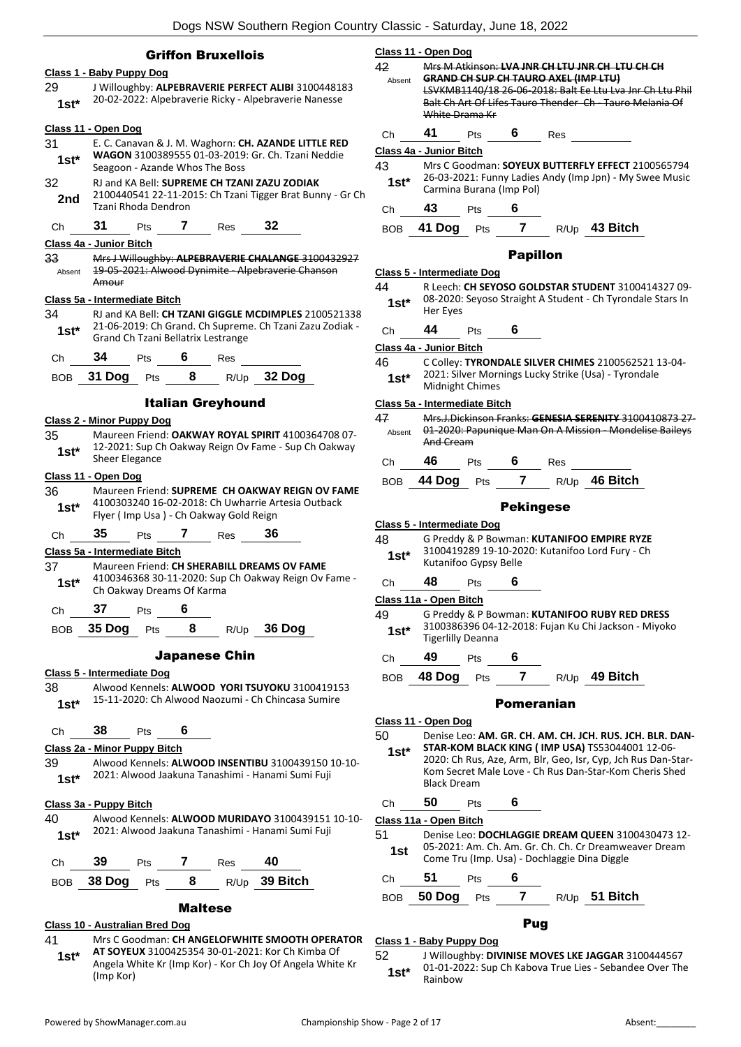**Class 11 - Open Dog**

# Griffon Bruxellois

# **Class 1 - Baby Puppy Dog**

29 J Willoughby: **ALPEBRAVERIE PERFECT ALIBI** 3100448183 20-02-2022: Alpebraverie Ricky - Alpebraverie Nanesse **1st\***

#### **Class 11 - Open Dog**

- 31 E. C. Canavan & J. M. Waghorn: **CH. AZANDE LITTLE RED WAGON** 3100389555 01-03-2019: Gr. Ch. Tzani Neddie Seagoon - Azande Whos The Boss **1st\*** 32 RJ and KA Bell: **SUPREME CH TZANI ZAZU ZODIAK**
- 2100440541 22-11-2015: Ch Tzani Tigger Brat Bunny Gr Ch 2nd <sup>2100440541</sup><br>Tzani Rhoda Dendron
- Ch **31** Pts **7** Res **32**

#### **Class 4a - Junior Bitch**

33 Mrs J Willoughby: **ALPEBRAVERIE CHALANGE** 3100432927 19-05-2021: Alwood Dynimite - Alpebraverie Chanson Amour Absent

#### **Class 5a - Intermediate Bitch**

34 RJ and KA Bell: **CH TZANI GIGGLE MCDIMPLES** 2100521338 21-06-2019: Ch Grand. Ch Supreme. Ch Tzani Zazu Zodiak - 1st\* 21-06-2019: Ch Grand. Ch Suprem<br>**1st\*** Grand Ch Tzani Bellatrix Lestrange

| 34<br>Res<br>`h<br>ເຮ<br>$\ddotsc$ |  |
|------------------------------------|--|
|------------------------------------|--|

|  | BOB 31 Dog Pts |  |  |  | $R/Up$ 32 Dog |
|--|----------------|--|--|--|---------------|
|--|----------------|--|--|--|---------------|

#### Italian Greyhound

#### **Class 2 - Minor Puppy Dog**

35 Maureen Friend: **OAKWAY ROYAL SPIRIT** 4100364708 07- 12-2021: Sup Ch Oakway Reign Ov Fame - Sup Ch Oakway **1st**\* **14-2021:** Sheer Elegance

#### **Class 11 - Open Dog**

36 Maureen Friend: **SUPREME CH OAKWAY REIGN OV FAME** 4100303240 16-02-2018: Ch Uwharrie Artesia Outback Flyer ( Imp Usa ) - Ch Oakway Gold Reign **1st\***

Ch **35** Pts **7** Res **36**

#### **Class 5a - Intermediate Bitch**

- 37 Maureen Friend: **CH SHERABILL DREAMS OV FAME** 4100346368 30-11-2020: Sup Ch Oakway Reign Ov Fame - **1st** <sup>4100346368 30-11-2020: Sup<br>Ch Oakway Dreams Of Karma</sup>
- Ch **37** Pts **6**

BOB **35 Dog** Pts **8** R/Up **36 Dog**

#### Japanese Chin

#### **Class 5 - Intermediate Dog**

38 Alwood Kennels: **ALWOOD YORI TSUYOKU** 3100419153 15-11-2020: Ch Alwood Naozumi - Ch Chincasa Sumire **1st\***

Ch **38** Pts **6**

### **Class 2a - Minor Puppy Bitch**

39 Alwood Kennels: **ALWOOD INSENTIBU** 3100439150 10-10- 2021: Alwood Jaakuna Tanashimi - Hanami Sumi Fuji **1st\***

#### **Class 3a - Puppy Bitch**

40 Alwood Kennels: **ALWOOD MURIDAYO** 3100439151 10-10- 2021: Alwood Jaakuna Tanashimi - Hanami Sumi Fuji **1st\***

|  |  | .<br>__ |  |
|--|--|---------|--|
|  |  |         |  |



# Maltese

# **Class 10 - Australian Bred Dog**

- 41 Mrs C Goodman: **CH ANGELOFWHITE SMOOTH OPERATOR**
- **AT SOYEUX** 3100425354 30-01-2021: Kor Ch Kimba Of Angela White Kr (Imp Kor) - Kor Ch Joy Of Angela White Kr (Imp Kor) **1st\***

| 42           |                                             |                                                                                                                     |                  |     | Mrs M Atkinson: LVA JNR CH LTU JNR CH LTU CH CH                                                                    |  |  |  |
|--------------|---------------------------------------------|---------------------------------------------------------------------------------------------------------------------|------------------|-----|--------------------------------------------------------------------------------------------------------------------|--|--|--|
| Absent       | <b>GRAND CH SUP CH TAURO AXEL (IMP LTU)</b> |                                                                                                                     |                  |     |                                                                                                                    |  |  |  |
|              |                                             | LSVKMB1140/18 26-06-2018: Balt Ee Ltu Lva Jnr Ch Ltu Phil<br>Balt Ch Art Of Lifes Tauro Thender Ch Tauro Melania Of |                  |     |                                                                                                                    |  |  |  |
|              | White Drama Kr                              |                                                                                                                     |                  |     |                                                                                                                    |  |  |  |
| Ch           | 41                                          | Pts                                                                                                                 | 6                | Res |                                                                                                                    |  |  |  |
|              | Class 4a - Junior Bitch                     |                                                                                                                     |                  |     |                                                                                                                    |  |  |  |
| 43           |                                             |                                                                                                                     |                  |     | Mrs C Goodman: SOYEUX BUTTERFLY EFFECT 2100565794                                                                  |  |  |  |
| $1st*$       | Carmina Burana (Imp Pol)                    |                                                                                                                     |                  |     | 26-03-2021: Funny Ladies Andy (Imp Jpn) - My Swee Music                                                            |  |  |  |
| Ch           | 43                                          | <b>Pts</b>                                                                                                          | 6                |     |                                                                                                                    |  |  |  |
| BOB.         | 41 Dog Pts                                  |                                                                                                                     |                  |     | 7 R/Up 43 Bitch                                                                                                    |  |  |  |
|              |                                             |                                                                                                                     | <b>Papillon</b>  |     |                                                                                                                    |  |  |  |
|              | Class 5 - Intermediate Dog                  |                                                                                                                     |                  |     |                                                                                                                    |  |  |  |
| 44           |                                             |                                                                                                                     |                  |     | R Leech: CH SEYOSO GOLDSTAR STUDENT 3100414327 09-                                                                 |  |  |  |
| 1st*         | Her Eyes                                    |                                                                                                                     |                  |     | 08-2020: Seyoso Straight A Student - Ch Tyrondale Stars In                                                         |  |  |  |
| Сh           | 44                                          | Pts                                                                                                                 | 6                |     |                                                                                                                    |  |  |  |
|              | Class 4a - Junior Bitch                     |                                                                                                                     |                  |     |                                                                                                                    |  |  |  |
| 46           |                                             |                                                                                                                     |                  |     | C Colley: TYRONDALE SILVER CHIMES 2100562521 13-04-<br>2021: Silver Mornings Lucky Strike (Usa) - Tyrondale        |  |  |  |
| $1st*$       | Midnight Chimes                             |                                                                                                                     |                  |     |                                                                                                                    |  |  |  |
|              | Class 5a - Intermediate Bitch               |                                                                                                                     |                  |     |                                                                                                                    |  |  |  |
| 47<br>Absent | And Cream                                   |                                                                                                                     |                  |     | Mrs.J.Dickinson Franks: GENESIA SERENITY 3100410873 27-<br>01-2020: Papunique Man On A Mission - Mondelise Baileys |  |  |  |
| Ch           | 46                                          | Pts                                                                                                                 | 6.               | Res |                                                                                                                    |  |  |  |
| BOB.         | 44 Dog Pts                                  |                                                                                                                     | $\overline{7}$   |     | R/Up 46 Bitch                                                                                                      |  |  |  |
|              |                                             |                                                                                                                     | <b>Pekingese</b> |     |                                                                                                                    |  |  |  |
|              | Class 5 - Intermediate Dog                  |                                                                                                                     |                  |     |                                                                                                                    |  |  |  |
| 48           |                                             |                                                                                                                     |                  |     | G Preddy & P Bowman: KUTANIFOO EMPIRE RYZE                                                                         |  |  |  |
| $1st*$       | Kutanifoo Gypsy Belle                       |                                                                                                                     |                  |     | 3100419289 19-10-2020: Kutanifoo Lord Fury - Ch                                                                    |  |  |  |
| Ch           | 48                                          | Pts                                                                                                                 | 6                |     |                                                                                                                    |  |  |  |
|              | Class 11a - Open Bitch                      |                                                                                                                     |                  |     |                                                                                                                    |  |  |  |
| 49           |                                             |                                                                                                                     |                  |     | G Preddy & P Bowman: KUTANIFOO RUBY RED DRESS                                                                      |  |  |  |
| $1st^*$      | <b>Tigerlilly Deanna</b>                    |                                                                                                                     |                  |     | 3100386396 04-12-2018: Fujan Ku Chi Jackson - Miyoko                                                               |  |  |  |
| Ch           | 49                                          | Pts                                                                                                                 | 6                |     |                                                                                                                    |  |  |  |
| <b>BOB</b>   | 48 Dog                                      | Pts                                                                                                                 | $\overline{7}$   |     | R/Up 49 Bitch                                                                                                      |  |  |  |
|              |                                             |                                                                                                                     | Pomeranian       |     |                                                                                                                    |  |  |  |
|              | Class 11 - Open Dog                         |                                                                                                                     |                  |     |                                                                                                                    |  |  |  |
| 50           |                                             |                                                                                                                     |                  |     | Denise Leo: AM. GR. CH. AM. CH. JCH. RUS. JCH. BLR. DAN-                                                           |  |  |  |
| 1st*         |                                             |                                                                                                                     |                  |     | STAR-KOM BLACK KING (IMP USA) TS53044001 12-06-<br>2020: Ch Rus, Aze, Arm, Blr, Geo, Isr, Cyp, Jch Rus Dan-Star-   |  |  |  |
|              |                                             |                                                                                                                     |                  |     | Kom Secret Male Love - Ch Rus Dan-Star-Kom Cheris Shed                                                             |  |  |  |
|              | <b>Black Dream</b>                          |                                                                                                                     |                  |     |                                                                                                                    |  |  |  |

Ch **50** Pts **6**

#### **Class 11a - Open Bitch**

51 Denise Leo: **DOCHLAGGIE DREAM QUEEN** 3100430473 12- 05-2021: Am. Ch. Am. Gr. Ch. Ch. Cr Dreamweaver Dream **1st** US-2021: Am. Ch. Am. Gr. Ch. Ch. Ch Dreamwe<br>Come Tru (Imp. Usa) - Dochlaggie Dina Diggle

Ch **51** Pts **6**

BOB **50 Dog** Pts **7** R/Up **51 Bitch**

# Pug

#### **Class 1 - Baby Puppy Dog**

52 J Willoughby: **DIVINISE MOVES LKE JAGGAR** 3100444567 01-01-2022: Sup Ch Kabova True Lies - Sebandee Over The Rainbow **1st\***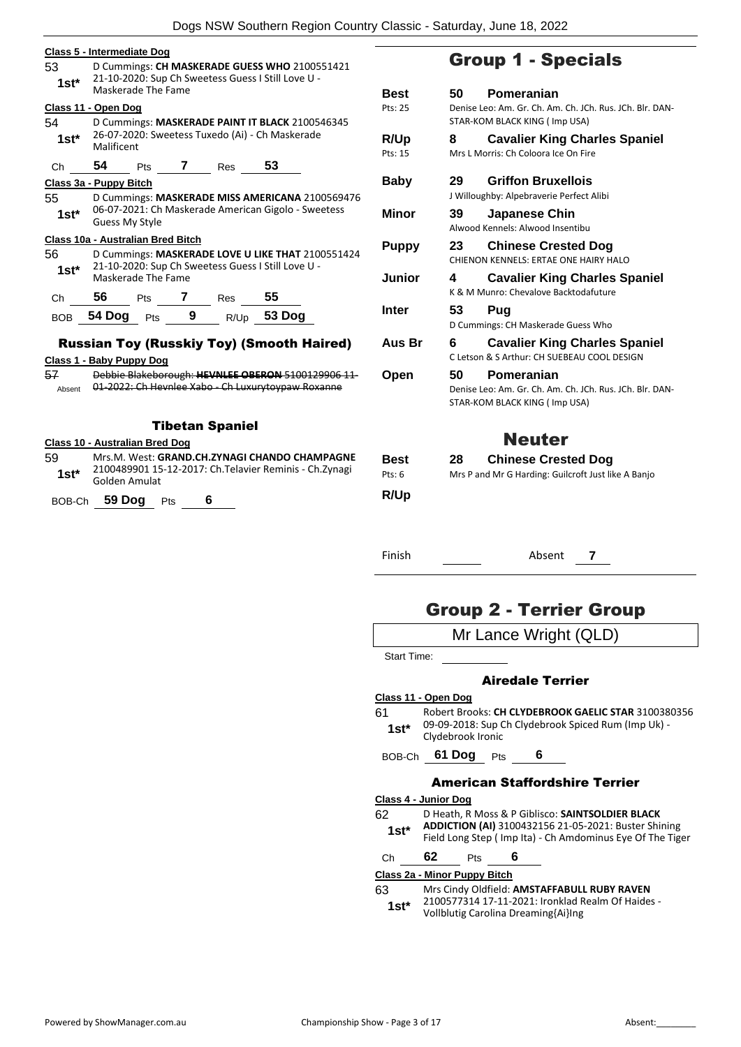| 53<br>$1st^*$          | Class 5 - Intermediate Dog<br>D Cummings: CH MASKERADE GUESS WHO 2100551421<br>21-10-2020: Sup Ch Sweetess Guess I Still Love U -<br>Maskerade The Fame |             |  |  |  |  |  |
|------------------------|---------------------------------------------------------------------------------------------------------------------------------------------------------|-------------|--|--|--|--|--|
|                        |                                                                                                                                                         | Best        |  |  |  |  |  |
|                        | Class 11 - Open Dog                                                                                                                                     | Pts: 25     |  |  |  |  |  |
| 54                     | D Cummings: MASKERADE PAINT IT BLACK 2100546345                                                                                                         |             |  |  |  |  |  |
| $1st*$                 | 26-07-2020: Sweetess Tuxedo (Ai) - Ch Maskerade<br>Malificent                                                                                           | <b>R/Up</b> |  |  |  |  |  |
|                        |                                                                                                                                                         | Pts: 15     |  |  |  |  |  |
| Ch                     | 54<br>53<br>$Pts$ 7<br><b>Res</b>                                                                                                                       |             |  |  |  |  |  |
|                        | Class 3a - Puppy Bitch                                                                                                                                  | Baby        |  |  |  |  |  |
| 55                     | D Cummings: MASKERADE MISS AMERICANA 2100569476                                                                                                         |             |  |  |  |  |  |
| $1st^*$                | 06-07-2021: Ch Maskerade American Gigolo - Sweetess                                                                                                     | Minor       |  |  |  |  |  |
|                        | Guess My Style                                                                                                                                          |             |  |  |  |  |  |
|                        | Class 10a - Australian Bred Bitch                                                                                                                       |             |  |  |  |  |  |
| 56                     | D Cummings: MASKERADE LOVE U LIKE THAT 2100551424                                                                                                       | Puppy       |  |  |  |  |  |
|                        | 21-10-2020: Sup Ch Sweetess Guess I Still Love U -                                                                                                      |             |  |  |  |  |  |
| $1st^*$                | Maskerade The Fame                                                                                                                                      | Junior      |  |  |  |  |  |
|                        |                                                                                                                                                         |             |  |  |  |  |  |
| Ch                     | 56<br>55<br>Pts 7 Res                                                                                                                                   |             |  |  |  |  |  |
| <b>BOB</b>             | R/Up 53 Dog<br>54 Dog Pts<br>- 9                                                                                                                        | Inter       |  |  |  |  |  |
|                        |                                                                                                                                                         |             |  |  |  |  |  |
|                        | <b>Russian Toy (Russkiy Toy) (Smooth Haired)</b>                                                                                                        | Aus Br      |  |  |  |  |  |
|                        | Class 1 - Baby Puppy Dog                                                                                                                                |             |  |  |  |  |  |
| 57                     | Debbie Blakeborough: HEVNLEE OBERON 5100129906 11-                                                                                                      | Open        |  |  |  |  |  |
| Absent                 |                                                                                                                                                         |             |  |  |  |  |  |
|                        |                                                                                                                                                         |             |  |  |  |  |  |
|                        |                                                                                                                                                         |             |  |  |  |  |  |
| <b>Tibetan Spaniel</b> |                                                                                                                                                         |             |  |  |  |  |  |
|                        | <b>Class 10 - Australian Bred Dog</b>                                                                                                                   |             |  |  |  |  |  |
| 59                     | Mrs.M. West: GRAND.CH.ZYNAGI CHANDO CHAMPAGNE                                                                                                           | <b>Best</b> |  |  |  |  |  |
|                        | 2100489901 15-12-2017: Ch. Telavier Reminis - Ch. Zynagi                                                                                                | Pts: 6      |  |  |  |  |  |
|                        | $1st*$<br>Golden Amulat                                                                                                                                 |             |  |  |  |  |  |

BOB-Ch **59 Dog** Pts **6**

# Group 1 - Specials

| Best<br>Pts: 25        | 50   | Pomeranian<br>Denise Leo: Am. Gr. Ch. Am. Ch. JCh. Rus. JCh. Blr. DAN-<br>STAR-KOM BLACK KING (Imp USA) |  |  |  |  |
|------------------------|------|---------------------------------------------------------------------------------------------------------|--|--|--|--|
| <b>R/Up</b><br>Pts: 15 | 8    | <b>Cavalier King Charles Spaniel</b><br>Mrs L Morris: Ch Coloora Ice On Fire                            |  |  |  |  |
| Baby                   | 29   | <b>Griffon Bruxellois</b><br>J Willoughby: Alpebraverie Perfect Alibi                                   |  |  |  |  |
| Minor                  | 39   | Japanese Chin<br>Alwood Kennels: Alwood Insentibu                                                       |  |  |  |  |
| <b>Puppy</b>           | 23   | <b>Chinese Crested Dog</b><br>CHIENON KENNELS: ERTAE ONE HAIRY HALO                                     |  |  |  |  |
| Junior                 | 4    | <b>Cavalier King Charles Spaniel</b><br>K & M Munro: Chevalove Backtodafuture                           |  |  |  |  |
| Inter                  | 53   | Pug<br>D Cummings: CH Maskerade Guess Who                                                               |  |  |  |  |
| Aus Br                 | 6    | <b>Cavalier King Charles Spaniel</b><br>C Letson & S Arthur: CH SUEBEAU COOL DESIGN                     |  |  |  |  |
| Open                   | 50   | Pomeranian<br>Denise Leo: Am. Gr. Ch. Am. Ch. JCh. Rus. JCh. Blr. DAN-<br>STAR-KOM BLACK KING (Imp USA) |  |  |  |  |
|                        |      | <b>Neuter</b>                                                                                           |  |  |  |  |
| Best<br>Pts: 6<br>R/Up | 28 - | <b>Chinese Crested Dog</b><br>Mrs P and Mr G Harding: Guilcroft Just like A Banjo                       |  |  |  |  |

Finish Absent **7**

# Group 2 - Terrier Group

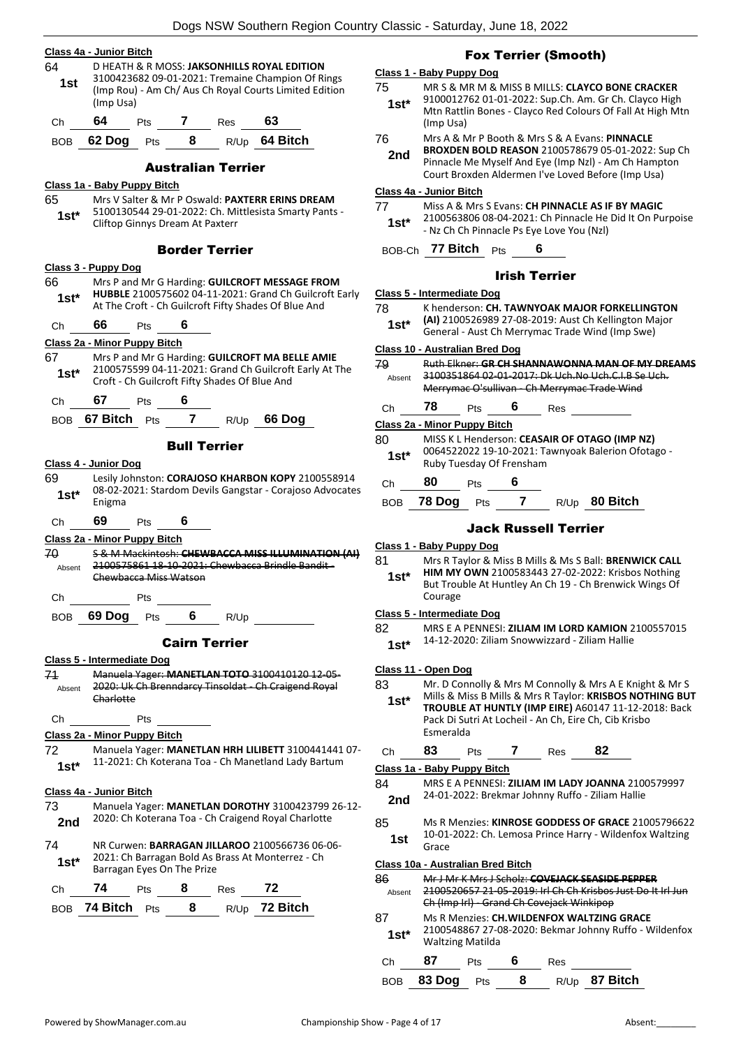## **Class 4a - Junior Bitch**

64 D HEATH & R MOSS: **JAKSONHILLS ROYAL EDITION** 3100423682 09-01-2021: Tremaine Champion Of Rings (Imp Rou) - Am Ch/ Aus Ch Royal Courts Limited Edition (Imp Usa) **1st**

| Ch. | 64             | Pts | <b>Res</b> | 63            |
|-----|----------------|-----|------------|---------------|
|     | BOB 62 Dog Pts |     |            | R/Up 64 Bitch |

# Australian Terrier

# **Class 1a - Baby Puppy Bitch**

65 Mrs V Salter & Mr P Oswald: **PAXTERR ERINS DREAM** 5100130544 29-01-2022: Ch. Mittlesista Smarty Pants - 1st\* 5100130544 29-01-2022: Ch. Mi<br>Cliftop Ginnys Dream At Paxterr

# Border Terrier

|                      | Border Terrier                                                                                           |  |  |  |  |
|----------------------|----------------------------------------------------------------------------------------------------------|--|--|--|--|
|                      | <u> Class 3 - Puppy Dog</u>                                                                              |  |  |  |  |
| 66                   | Mrs P and Mr G Harding: GUILCROFT MESSAGE FROM                                                           |  |  |  |  |
| $1st^*$              | HUBBLE 2100575602 04-11-2021: Grand Ch Guilcroft Early                                                   |  |  |  |  |
|                      | At The Croft - Ch Guilcroft Fifty Shades Of Blue And                                                     |  |  |  |  |
| Chine                | 66<br>Pts 6                                                                                              |  |  |  |  |
|                      | <u> Class 2a - Minor Puppy Bitch</u>                                                                     |  |  |  |  |
| 67.                  | Mrs P and Mr G Harding: GUILCROFT MA BELLE AMIE                                                          |  |  |  |  |
| $1st^*$              | 2100575599 04-11-2021: Grand Ch Guilcroft Early At The<br>Croft - Ch Guilcroft Fifty Shades Of Blue And  |  |  |  |  |
|                      |                                                                                                          |  |  |  |  |
| Christ               | 67<br>6<br><b>Pts</b>                                                                                    |  |  |  |  |
|                      | BOB 67 Bitch Pts 7 R/Up 66 Dog                                                                           |  |  |  |  |
|                      | <b>Bull Terrier</b>                                                                                      |  |  |  |  |
|                      | Class 4 - Junior Dog                                                                                     |  |  |  |  |
| 69 —                 | Lesily Johnston: CORAJOSO KHARBON KOPY 2100558914                                                        |  |  |  |  |
| 1st*                 | 08-02-2021: Stardom Devils Gangstar - Corajoso Advocates                                                 |  |  |  |  |
|                      | Enigma                                                                                                   |  |  |  |  |
| Ch                   | -69<br>6<br><b>Pts</b>                                                                                   |  |  |  |  |
|                      | Class 2a - Minor Puppy Bitch                                                                             |  |  |  |  |
| 70                   | 5 & M Mackintosh: CHEWBACCA MISS ILLUMINATION (AI)                                                       |  |  |  |  |
| Absent               | 2100575861 18-10-2021: Chewbacca Brindle Bandit -                                                        |  |  |  |  |
|                      | Chewbacca Miss Watson                                                                                    |  |  |  |  |
| Ch                   | Pts                                                                                                      |  |  |  |  |
| BOB                  | 69 Dog $Pts$ 6<br>R/Up                                                                                   |  |  |  |  |
| <b>Cairn Terrier</b> |                                                                                                          |  |  |  |  |
|                      | <b>Class 5 - Intermediate Dog</b>                                                                        |  |  |  |  |
| 71                   | Manuela Yager: MANETLAN TOTO 3100410120 12-05-                                                           |  |  |  |  |
| Absent               | 2020: Uk Ch Brenndarcy Tinsoldat Ch Craigend Royal                                                       |  |  |  |  |
|                      | Charlotte                                                                                                |  |  |  |  |
| Ch <sub>ra</sub>     | <b>Pts</b>                                                                                               |  |  |  |  |
|                      | <b>Class 2a - Minor Puppy Bitch</b>                                                                      |  |  |  |  |
| 72                   | Manuela Yager: MANETLAN HRH LILIBETT 3100441441 07-                                                      |  |  |  |  |
| $1st^*$              | 11-2021: Ch Koterana Toa - Ch Manetland Lady Bartum                                                      |  |  |  |  |
|                      |                                                                                                          |  |  |  |  |
|                      | <u>Class 4a - Junior Bitch</u>                                                                           |  |  |  |  |
| 73                   | Manuela Yager: MANETLAN DOROTHY 3100423799 26-12-<br>2020: Ch Koterana Toa - Ch Craigend Royal Charlotte |  |  |  |  |
| 2nd                  |                                                                                                          |  |  |  |  |
| 74                   | NR Curwen: BARRAGAN JILLAROO 2100566736 06-06-                                                           |  |  |  |  |
| $1st^*$              | 2021: Ch Barragan Bold As Brass At Monterrez - Ch                                                        |  |  |  |  |
|                      | Barragan Eves On The Prize                                                                               |  |  |  |  |

| Ch. | 74                             | <b>Pts</b> | - 8 | Res | - 72          |
|-----|--------------------------------|------------|-----|-----|---------------|
|     | BOB 74 Bitch $P_{\text{ts}}$ 8 |            |     |     | R/Up 72 Bitch |

# Fox Terrier (Smooth)

#### **Class 1 - Baby Puppy Dog**

- 75 MR S & MR M & MISS B MILLS: **CLAYCO BONE CRACKER** 9100012762 01-01-2022: Sup.Ch. Am. Gr Ch. Clayco High Mtn Rattlin Bones - Clayco Red Colours Of Fall At High Mtn (Imp Usa) **1st\***
- 76 Mrs A & Mr P Booth & Mrs S & A Evans: **PINNACLE**
- **BROXDEN BOLD REASON** 2100578679 05-01-2022: Sup Ch Pinnacle Me Myself And Eye (Imp Nzl) - Am Ch Hampton Court Broxden Aldermen I've Loved Before (Imp Usa) **2nd**

**Class 4a - Junior Bitch**

- 77 Miss A & Mrs S Evans: **CH PINNACLE AS IF BY MAGIC**
- 2100563806 08-04-2021: Ch Pinnacle He Did It On Purpoise 1st\* 2100563806 08-04-2021: Ch Pinnacle He<br>- Nz Ch Ch Pinnacle Ps Eye Love You (Nzl)

BOB-Ch **77 Bitch** Pts **6**

# Irish Terrier

#### **Class 5 - Intermediate Dog**

- 78 K henderson: **CH. TAWNYOAK MAJOR FORKELLINGTON**
- **(AI)** 2100526989 27-08-2019: Aust Ch Kellington Major General - Aust Ch Merrymac Trade Wind (Imp Swe) **1st\***

#### **Class 10 - Australian Bred Dog**

| 79     | <b>Ruth Elkner: GR CH SHANNAWONNA MAN OF MY DREAMS</b> |
|--------|--------------------------------------------------------|
| Ahsent | 3100351864 02 01 2017: Dk Uch.No Uch.C.I.B Se Uch.     |
|        | Merrymac O'sullivan - Ch Merrymac Trade Wind           |
|        |                                                        |

| Сh | ^ts | n | Res |
|----|-----|---|-----|
|    |     |   |     |

#### **Class 2a - Minor Puppy Bitch**

| 80     | MISS K L Henderson: CEASAIR OF OTAGO (IMP NZ)<br>0064522022 19-10-2021: Tawnyoak Balerion Ofotago - |
|--------|-----------------------------------------------------------------------------------------------------|
| $1st*$ | Ruby Tuesday Of Frensham                                                                            |
|        |                                                                                                     |

```
Ch 80 Pts 6
```

|  | BOB 78 Dog Pts |  |  |  | $R/Up$ 80 Bitch |
|--|----------------|--|--|--|-----------------|
|--|----------------|--|--|--|-----------------|

# Jack Russell Terrier

## **Class 1 - Baby Puppy Dog**

- 81 Mrs R Taylor & Miss B Mills & Ms S Ball: **BRENWICK CALL** 
	- **HIM MY OWN** 2100583443 27-02-2022: Krisbos Nothing But Trouble At Huntley An Ch 19 - Ch Brenwick Wings Of Courage **1st\***

#### **Class 5 - Intermediate Dog**

# **Class 11 - Open Dog**

83 Mr. D Connolly & Mrs M Connolly & Mrs A E Knight & Mr S Mills & Miss B Mills & Mrs R Taylor: **KRISBOS NOTHING BUT** 

**TROUBLE AT HUNTLY (IMP EIRE)** A60147 11-12-2018: Back Pack Di Sutri At Locheil - An Ch, Eire Ch, Cib Krisbo Esmeralda **1st\***

|  | ٦h. |  | ้เร |  | Res<br>__ | 82 |  |
|--|-----|--|-----|--|-----------|----|--|
|--|-----|--|-----|--|-----------|----|--|

**Class 1a - Baby Puppy Bitch**

- 84 MRS E A PENNESI: **ZILIAM IM LADY JOANNA** 2100579997 24-01-2022: Brekmar Johnny Ruffo - Ziliam Hallie **2nd**
- 85 Ms R Menzies: **KINROSE GODDESS OF GRACE** 21005796622 10-01-2022: Ch. Lemosa Prince Harry - Wildenfox Waltzing **1st 10-01**

#### **Class 10a - Australian Bred Bitch**

| 86     | Mr J Mr K Mrs J Scholz: COVEJACK SEASIDE PEPPER             |
|--------|-------------------------------------------------------------|
| Absent | 2100520657 21-05-2019: Irl Ch Ch Krisbos Just Do It Irl Jun |
|        | Ch (Imp Irl) - Grand Ch Covejack Winkipop                   |
| 87     | Ms R Menzies: CH.WILDENFOX WALTZING GRACE                   |
| $1st*$ | 2100548867 27-08-2020: Bekmar Johnny Ruffo - Wildenfox      |
|        | <b>Waltzing Matilda</b>                                     |

Ch **87** Pts **6** Res BOB **83 Dog** Pts **8** R/Up **87 Bitch**

<sup>82</sup> MRS E A PENNESI: **ZILIAM IM LORD KAMION** 2100557015 14-12-2020: Ziliam Snowwizzard - Ziliam Hallie **1st\***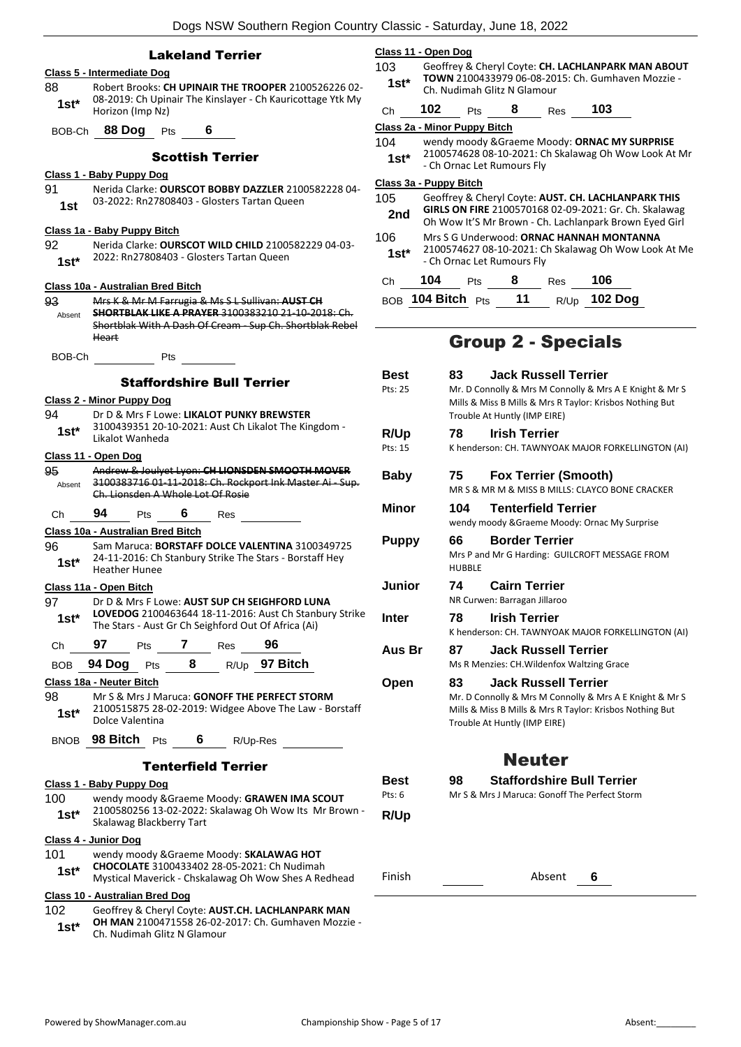# Lakeland Terrier

# **Class 5 - Intermediate Dog**

88 Robert Brooks: **CH UPINAIR THE TROOPER** 2100526226 02- 08-2019: Ch Upinair The Kinslayer - Ch Kauricottage Ytk My Horizon (Imp Nz) **1st\***

BOB-Ch **88 Dog** Pts **6**

### Scottish Terrier

# **Class 1 - Baby Puppy Dog**

91 Nerida Clarke: **OURSCOT BOBBY DAZZLER** 2100582228 04- 03-2022: Rn27808403 - Glosters Tartan Queen **1st**

#### **Class 1a - Baby Puppy Bitch**

92 Nerida Clarke: **OURSCOT WILD CHILD** 2100582229 04-03- 2022: Rn27808403 - Glosters Tartan Queen **1st\***

#### **Class 10a - Australian Bred Bitch**

- 93 Mrs K & Mr M Farrugia & Ms S L Sullivan: **AUST CH SHORTBLAK LIKE A PRAYER** 3100383210 21-10-2018: Ch. Shortblak With A Dash Of Cream - Sup Ch. Shortblak Rebel Heart Absent
- BOB-Ch Pts

#### Staffordshire Bull Terrier

#### **Class 2 - Minor Puppy Dog**

94 Dr D & Mrs F Lowe: **LIKALOT PUNKY BREWSTER** 3100439351 20-10-2021: Aust Ch Likalot The Kingdom - Likalot Wanheda **1st\***

#### **Class 11 - Open Dog**

| 95     | Andrew & Joulyet Lyon: CH LIONSDEN SMOOTH MOVER          |
|--------|----------------------------------------------------------|
| Absent | 3100383716 01-11-2018: Ch. Rockport Ink Master Ai - Sup. |
|        | Ch. Lionsden A Whole Lot Of Rosie                        |
|        |                                                          |

# Ch **94** Pts **6** Res

# **Class 10a - Australian Bred Bitch**

96 Sam Maruca: **BORSTAFF DOLCE VALENTINA** 3100349725 24-11-2016: Ch Stanbury Strike The Stars - Borstaff Hey **1st**\* <sup>24-11-2016: Ch</sup>

# **Class 11a - Open Bitch**

- 97 Dr D & Mrs F Lowe: **AUST SUP CH SEIGHFORD LUNA LOVEDOG** 2100463644 18-11-2016: Aust Ch Stanbury Strike **1st\*** LOVEDOG 2100463644 18-11-2016: Aust Ch Stand<br>The Stars - Aust Gr Ch Seighford Out Of Africa (Ai)
- Ch **97** Pts **7** Res **96**
- BOB **94 Dog** Pts **8** R/Up **97 Bitch**

# **Class 18a - Neuter Bitch**

- 98 Mr S & Mrs J Maruca: **GONOFF THE PERFECT STORM** 2100515875 28-02-2019: Widgee Above The Law - Borstaff Dolce Valentina **1st\***
- BNOB **98 Bitch** Pts **6** R/Up-Res

### Tenterfield Terrier

# **Class 1 - Baby Puppy Dog**

100 wendy moody &Graeme Moody: **GRAWEN IMA SCOUT** 2100580256 13-02-2022: Skalawag Oh Wow Its Mr Brown - Skalawag Blackberry Tart **1st\***

# **Class 4 - Junior Dog**

101 wendy moody &Graeme Moody: **SKALAWAG HOT CHOCOLATE** 3100433402 28-05-2021: Ch Nudimah Mystical Maverick - Chskalawag Oh Wow Shes A Redhead **1st\***

# **Class 10 - Australian Bred Dog**

102 Geoffrey & Cheryl Coyte: **AUST.CH. LACHLANPARK MAN** 

**OH MAN** 2100471558 26-02-2017: Ch. Gumhaven Mozzie - **1st\* CH MAN 2100471558 26-02-4**<br>Ch. Nudimah Glitz N Glamour

# **Class 11 - Open Dog**

- 103 Geoffrey & Cheryl Coyte: **CH. LACHLANPARK MAN ABOUT TOWN** 2100433979 06-08-2015: Ch. Gumhaven Mozzie - 1st\* **10WN** 2100433979 06-08-20<br>Ch. Nudimah Glitz N Glamour
- Ch **102** Pts **8** Res **103**

#### **Class 2a - Minor Puppy Bitch**

104 wendy moody &Graeme Moody: **ORNAC MY SURPRISE** 2100574628 08-10-2021: Ch Skalawag Oh Wow Look At Mr - Ch Ornac Let Rumours Fly **1st\***

#### **Class 3a - Puppy Bitch**

- 105 Geoffrey & Cheryl Coyte: **AUST. CH. LACHLANPARK THIS GIRLS ON FIRE** 2100570168 02-09-2021: Gr. Ch. Skalawag **2nd GIRLS ON FIRE** 2100570168 02-09-2021: GT. CT. Skalawag<br>Oh Wow It'S Mr Brown - Ch. Lachlanpark Brown Eyed Girl 106 Mrs S G Underwood: **ORNAC HANNAH MONTANNA** 2100574627 08-10-2021: Ch Skalawag Oh Wow Look At Me - Ch Ornac Let Rumours Fly **1st\*** Ch **104** Pts **8** Res **106**
	- BOB **104 Bitch** Pts **11** R/Up **102 Dog**

# Group 2 - Specials

| <b>Best</b> | <b>Jack Russell Terrier</b><br>83                                                                                                                   |
|-------------|-----------------------------------------------------------------------------------------------------------------------------------------------------|
| Pts: 25     | Mr. D Connolly & Mrs M Connolly & Mrs A E Knight & Mr S<br>Mills & Miss B Mills & Mrs R Taylor: Krisbos Nothing But<br>Trouble At Huntly (IMP EIRE) |
| R/Up        | <b>Irish Terrier</b><br>78                                                                                                                          |
| Pts: 15     | K henderson: CH. TAWNYOAK MAJOR FORKELLINGTON (AI)                                                                                                  |
| <b>Baby</b> | 75<br><b>Fox Terrier (Smooth)</b>                                                                                                                   |
|             | MR S & MR M & MISS B MILLS: CLAYCO BONE CRACKER                                                                                                     |
| Minor       | <b>Tenterfield Terrier</b><br>104                                                                                                                   |
|             | wendy moody & Graeme Moody: Ornac My Surprise                                                                                                       |
| Puppy       | <b>Border Terrier</b><br>66                                                                                                                         |
|             | Mrs P and Mr G Harding: GUILCROFT MESSAGE FROM<br><b>HUBBLE</b>                                                                                     |
| Junior      | 74<br><b>Cairn Terrier</b>                                                                                                                          |
|             | NR Curwen: Barragan Jillaroo                                                                                                                        |
| Inter       | <b>Irish Terrier</b><br>78                                                                                                                          |
|             | K henderson: CH. TAWNYOAK MAJOR FORKELLINGTON (AI)                                                                                                  |
| Aus Br      | <b>Jack Russell Terrier</b><br>87                                                                                                                   |
|             | Ms R Menzies: CH. Wildenfox Waltzing Grace                                                                                                          |
| Open        | <b>Jack Russell Terrier</b><br>83                                                                                                                   |
|             | Mr. D Connolly & Mrs M Connolly & Mrs A E Knight & Mr S<br>Mills & Miss B Mills & Mrs R Taylor: Krisbos Nothing But                                 |
|             | Trouble At Huntly (IMP EIRE)                                                                                                                        |
|             | <b>Neuter</b>                                                                                                                                       |
| Best        | <b>Staffordshire Bull Terrier</b><br>98                                                                                                             |
| Pts: $6$    | Mr S & Mrs J Maruca: Gonoff The Perfect Storm                                                                                                       |
| R/Up        |                                                                                                                                                     |
|             |                                                                                                                                                     |
| Finish      | Absent<br>6                                                                                                                                         |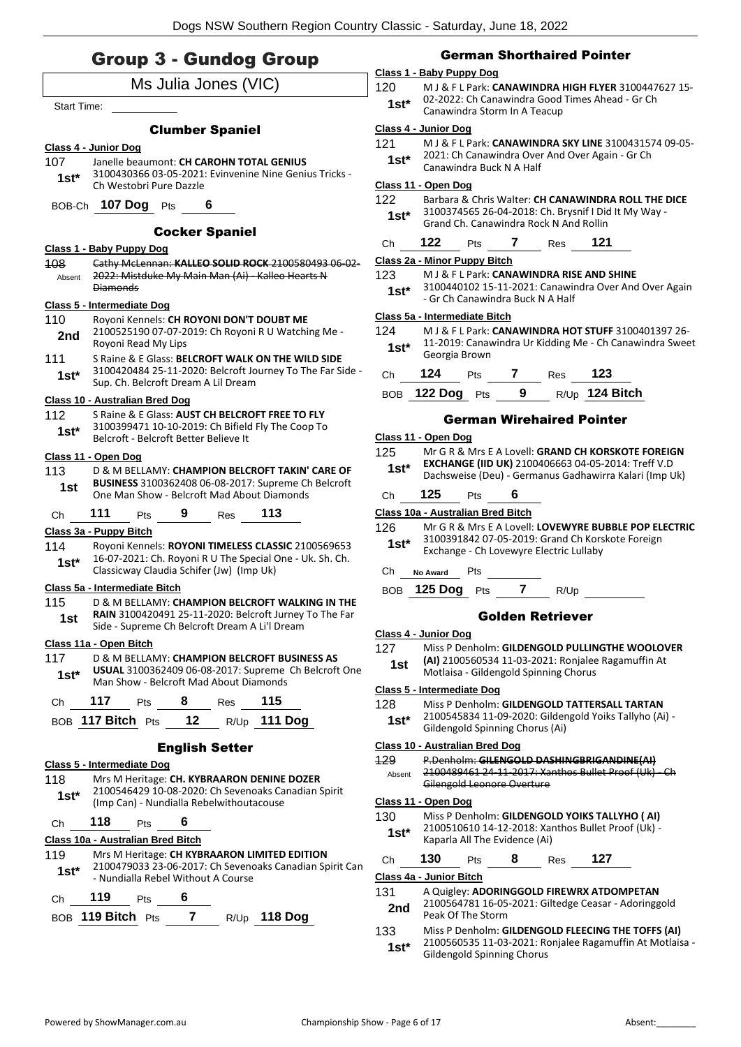# Group 3 - Gundog Group

| uroup ১ - uunaog uroup |                                                                                                                                                       |  |  |
|------------------------|-------------------------------------------------------------------------------------------------------------------------------------------------------|--|--|
|                        | Ms Julia Jones (VIC)                                                                                                                                  |  |  |
| <b>Start Time:</b>     |                                                                                                                                                       |  |  |
|                        | <b>Clumber Spaniel</b>                                                                                                                                |  |  |
|                        | Class 4 - Junior Dog                                                                                                                                  |  |  |
| 107<br>1st*            | Janelle beaumont: CH CAROHN TOTAL GENIUS<br>3100430366 03-05-2021: Evinvenine Nine Genius Tricks -<br>Ch Westobri Pure Dazzle                         |  |  |
|                        | BOB-Ch 107 Dog Pts<br>6                                                                                                                               |  |  |
|                        | <b>Cocker Spaniel</b>                                                                                                                                 |  |  |
|                        | Class 1 - Baby Puppy Dog                                                                                                                              |  |  |
| 108<br>Absent          | Cathy McLennan: KALLEO SOLID ROCK 2100580493 06-02-<br>2022: Mistduke My Main Man (Ai) - Kalleo Hearts N<br><b>Diamonds</b>                           |  |  |
|                        | <b>Class 5 - Intermediate Dog</b>                                                                                                                     |  |  |
| 110<br>2nd             | Royoni Kennels: CH ROYONI DON'T DOUBT ME<br>2100525190 07-07-2019: Ch Royoni R U Watching Me -<br>Royoni Read My Lips                                 |  |  |
| 111<br>1st*            | S Raine & E Glass: BELCROFT WALK ON THE WILD SIDE<br>3100420484 25-11-2020: Belcroft Journey To The Far Side -<br>Sup. Ch. Belcroft Dream A Lil Dream |  |  |
|                        | Class 10 - Australian Bred Dog                                                                                                                        |  |  |
| 112                    | S Raine & E Glass: AUST CH BELCROFT FREE TO FLY                                                                                                       |  |  |
| 1st*                   | 3100399471 10-10-2019: Ch Bifield Fly The Coop To<br>Belcroft - Belcroft Better Believe It                                                            |  |  |
|                        | <u> Class 11 - Open Dog</u>                                                                                                                           |  |  |
| 113                    | D & M BELLAMY: CHAMPION BELCROFT TAKIN' CARE OF                                                                                                       |  |  |
| 1st                    | BUSINESS 3100362408 06-08-2017: Supreme Ch Belcroft<br>One Man Show - Belcroft Mad About Diamonds                                                     |  |  |
| Сh                     | 111<br>113<br>9 Res<br>Pts                                                                                                                            |  |  |
|                        | <u> Class 3a - Puppy Bitch</u>                                                                                                                        |  |  |
| 114                    | Royoni Kennels: ROYONI TIMELESS CLASSIC 2100569653<br>16-07-2021: Ch. Royoni R U The Special One - Uk. Sh. Ch.                                        |  |  |
| $1st^*$                | Classicway Claudia Schifer (Jw) (Imp Uk)                                                                                                              |  |  |
|                        | <u> Class 5a - Intermediate Bitch</u>                                                                                                                 |  |  |
| 115                    | D & M BELLAMY: CHAMPION BELCROFT WALKING IN THE                                                                                                       |  |  |
| 1st                    | RAIN 3100420491 25-11-2020: Belcroft Jurney To The Far<br>Side - Supreme Ch Belcroft Dream A Li'l Dream                                               |  |  |
|                        | Class 11a - Open Bitch                                                                                                                                |  |  |
| 117                    | D & M BELLAMY: CHAMPION BELCROFT BUSINESS AS                                                                                                          |  |  |
| $1st^*$                | <b>USUAL 3100362409 06-08-2017: Supreme Ch Belcroft One</b><br>Man Show - Belcroft Mad About Diamonds                                                 |  |  |
|                        | Ch 117 Pts 8 Res 115                                                                                                                                  |  |  |
|                        | BOB 117 Bitch Pts 12 R/Up 111 Dog                                                                                                                     |  |  |
|                        | <b>English Setter</b>                                                                                                                                 |  |  |
|                        | Class 5 - Intermediate Dog                                                                                                                            |  |  |
| 118                    | Mrs M Heritage: CH. KYBRAARON DENINE DOZER                                                                                                            |  |  |
| $1st^*$                | 2100546429 10-08-2020: Ch Sevenoaks Canadian Spirit<br>(Imp Can) - Nundialla Rebelwithoutacouse                                                       |  |  |
| Ch 118                 | Pts 6                                                                                                                                                 |  |  |
|                        | Class 10a - Australian Bred Bitch                                                                                                                     |  |  |
| 119 —<br>$1st^*$       | Mrs M Heritage: CH KYBRAARON LIMITED EDITION<br>2100479033 23-06-2017: Ch Sevenoaks Canadian Spirit Can<br>- Nundialla Rebel Without A Course         |  |  |
| Ch                     | 119<br>6<br><b>Pts</b>                                                                                                                                |  |  |

#### 123 M J & F L Park: **CANAWINDRA RISE AND SHINE**

3100440102 15-11-2021: Canawindra Over And Over Again 1st\* 3100440102 15-11-2021: Canawin<br>Gr Ch Canawindra Buck N A Half

#### **Class 5a - Intermediate Bitch**

**Class 2a - Minor Puppy Bitch**

- 124 M J & F L Park: **CANAWINDRA HOT STUFF** 3100401397 26-
- 11-2019: Canawindra Ur Kidding Me Ch Canawindra Sweet Georgia Brown **1st\***

| Ch | 124             | <b>Pts</b> |   | Res | 123              |
|----|-----------------|------------|---|-----|------------------|
|    | BOB 122 Dog Pts |            | 9 |     | $R/Up$ 124 Bitch |

#### German Wirehaired Pointer

| Class 11 - Open Dog |  |  |
|---------------------|--|--|
|                     |  |  |

- 125 Mr G R & Mrs E A Lovell: **GRAND CH KORSKOTE FOREIGN EXCHANGE (IID UK)** 2100406663 04-05-2014: Treff V.D **1st\* EXCHANGE (IID UK)** 2100406663 04-05-2014: Treft V.D<br>Dachsweise (Deu) - Germanus Gadhawirra Kalari (Imp Uk)
- Ch **125** Pts **6**

#### **Class 10a - Australian Bred Bitch**

- 126 Mr G R & Mrs E A Lovell: **LOVEWYRE BUBBLE POP ELECTRIC** 3100391842 07-05-2019: Grand Ch Korskote Foreign Exchange - Ch Lovewyre Electric Lullaby **1st\***
- Ch **No Award** Pts

BOB **125 Dog** Pts **7** R/Up

### Golden Retriever

#### **Class 4 - Junior Dog**

- 127 Miss P Denholm: **GILDENGOLD PULLINGTHE WOOLOVER (AI)** 2100560534 11-03-2021: Ronjalee Ragamuffin At
	- 1st **ADDED**<br>Motlaisa Gildengold Spinning Chorus

#### **Class 5 - Intermediate Dog**

- 128 Miss P Denholm: **GILDENGOLD TATTERSALL TARTAN**
	- 2100545834 11-09-2020: Gildengold Yoiks Tallyho (Ai) Gildengold Spinning Chorus (Ai) **1st\***

#### **Class 10 - Australian Bred Dog**

129 P.Denholm: **GILENGOLD DASHINGBRIGANDINE(AI)** 2100489461 24-11-2017: Xanthos Bullet Proof (Uk) Gilengold Leonore Overture Absent

#### **Class 11 - Open Dog**

- 130 Miss P Denholm: **GILDENGOLD YOIKS TALLYHO ( AI)**
	- 2100510610 14-12-2018: Xanthos Bullet Proof (Uk) **1st** <br>**1st 1st 1st 1st** *Naparla All The Evidence (Ai)*

| Ch | 130 | Pts | <b>Res</b> | 127 |
|----|-----|-----|------------|-----|
|    |     |     |            |     |

#### **Class 4a - Junior Bitch**

- 131 A Quigley: **ADORINGGOLD FIREWRX ATDOMPETAN**
	- 2100564781 16-05-2021: Giltedge Ceasar Adoringgold Peak Of The Storm **2nd**
- 133 Miss P Denholm: **GILDENGOLD FLEECING THE TOFFS (AI)**
	- 2100560535 11-03-2021: Ronjalee Ragamuffin At Motlaisa Gildengold Spinning Chorus **1st\***

BOB **119 Bitch** Pts **7** R/Up **118 Dog**

# German Shorthaired Pointer

# **Class 1 - Baby Puppy Dog**

120 M J & F L Park: **CANAWINDRA HIGH FLYER** 3100447627 15- 02-2022: Ch Canawindra Good Times Ahead - Gr Ch Canawindra Storm In A Teacup **1st\***

Grand Ch. Canawindra Rock N And Rollin **1st\*** Ch **122** Pts **7** Res **121**

#### **Class 4 - Junior Dog**

121 M J & F L Park: **CANAWINDRA SKY LINE** 3100431574 09-05-

| - 1    |                                                 |
|--------|-------------------------------------------------|
| $1st*$ | 2021: Ch Canawindra Over And Over Again - Gr Ch |
|        | Canawindra Buck N A Half                        |

#### **Class 11 - Open Dog**

| _______ |                                                     |  |
|---------|-----------------------------------------------------|--|
| 122     | Barbara & Chris Walter: CH CANAWINDRA ROLL THE DICE |  |

3100374565 26-04-2018: Ch. Brysnif I Did It My Way -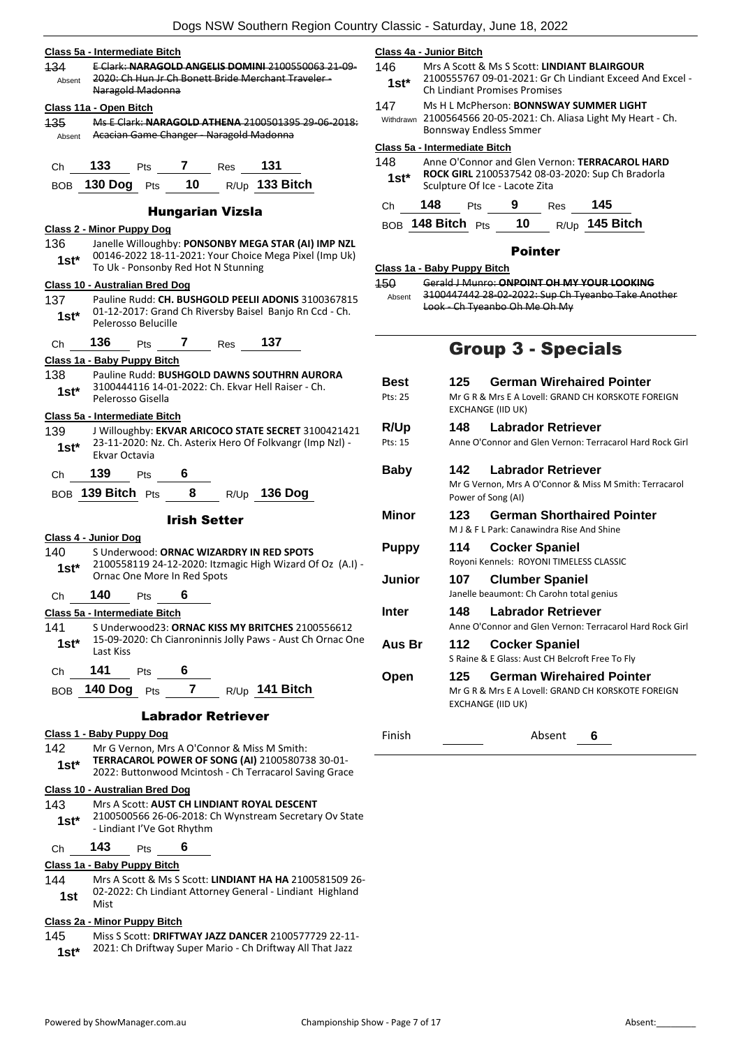- **Class 5a - Intermediate Bitch** 134 E Clark: **NARAGOLD ANGELIS DOMINI** 2100550063 21-09- 2020: Ch Hun Jr Ch Bonett Bride Merchant Traveler - Naragold Madonna Absent **Class 11a - Open Bitch** 135 Ms E Clark: **NARAGOLD ATHENA** 2100501395 29-06-2018: Absent Acacian Game Changer - Naragold Madonna Ch **133** Pts **7** Res **131** BOB **130 Dog** Pts **10** R/Up **133 Bitch** Hungarian Vizsla **Class 2 - Minor Puppy Dog** 136 Janelle Willoughby: **PONSONBY MEGA STAR (AI) IMP NZL** 00146-2022 18-11-2021: Your Choice Mega Pixel (Imp Uk) **1st**\* UUL40-2022 18-11-2021: Your Cribice<br>To Uk - Ponsonby Red Hot N Stunning **Class 10 - Australian Bred Dog** 137 Pauline Rudd: **CH. BUSHGOLD PEELII ADONIS** 3100367815 01-12-2017: Grand Ch Riversby Baisel Banjo Rn Ccd - Ch. Pelerosso Belucille **1st\*** Ch **136** Pts **7** Res **137 Class 1a - Baby Puppy Bitch** 138 Pauline Rudd: **BUSHGOLD DAWNS SOUTHRN AURORA** 3100444116 14-01-2022: Ch. Ekvar Hell Raiser - Ch. Pelerosso Gisella **1st\* Class 5a - Intermediate Bitch** 139 J Willoughby: **EKVAR ARICOCO STATE SECRET** 3100421421
	- 23-11-2020: Nz. Ch. Asterix Hero Of Folkvangr (Imp Nzl) 1st<sup>\*</sup> <sup>23-11-2020: r</sup><br>Ekvar Octavia
	- Ch **139** Pts **6**
	- BOB **139 Bitch** Pts **8** R/Up **136 Dog**

#### Irish Setter

#### **Class 4 - Junior Dog** 140 S Underwood: **ORNAC WIZARDRY IN RED SPOTS** 2100558119 24-12-2020: Itzmagic High Wizard Of Oz (A.I) - Ornac One More In Red Spots **1st\***

# Ch **140** Pts **6**

- **Class 5a - Intermediate Bitch** 141 S Underwood23: **ORNAC KISS MY BRITCHES** 2100556612
- 15-09-2020: Ch Cianroninnis Jolly Paws Aust Ch Ornac One 1st<sup>\*</sup> <sup>15-09-20</sup><br>Last Kiss Ch **141** Pts **6**
- BOB **140 Dog** Pts **7** R/Up **141 Bitch**

#### Labrador Retriever

# **Class 1 - Baby Puppy Dog**

142 Mr G Vernon, Mrs A O'Connor & Miss M Smith: **TERRACAROL POWER OF SONG (AI)** 2100580738 30-01- 2022: Buttonwood Mcintosh - Ch Terracarol Saving Grace **1st\***

#### **Class 10 - Australian Bred Dog**

#### 143 Mrs A Scott: **AUST CH LINDIANT ROYAL DESCENT** 2100500566 26-06-2018: Ch Wynstream Secretary Ov State 1 **st**\* <sup>2100500566</sup> 26-06-2018:

Ch **143** Pts **6**

# **Class 1a - Baby Puppy Bitch**

144 Mrs A Scott & Ms S Scott: **LINDIANT HA HA** 2100581509 26- 02-2022: Ch Lindiant Attorney General - Lindiant Highland **1st**  $\frac{UZ-Z}{Mist}$ 

#### **Class 2a - Minor Puppy Bitch**

145 Miss S Scott: **DRIFTWAY JAZZ DANCER** 2100577729 22-11-

1st\* 2021: Ch Driftway Super Mario - Ch Driftway All That Jazz

### **Class 4a - Junior Bitch**

- 146 Mrs A Scott & Ms S Scott: **LINDIANT BLAIRGOUR** 2100555767 09-01-2021: Gr Ch Lindiant Exceed And Excel -
- 1st<sup>\*</sup> Ch Lindiant Promises Promises
- 147 Ms H L McPherson: **BONNSWAY SUMMER LIGHT**
- 2100564566 20-05-2021: Ch. Aliasa Light My Heart Ch. Bonnsway Endless Smmer Withdrawn

## **Class 5a - Intermediate Bitch**

148 Anne O'Connor and Glen Vernon: **TERRACAROL HARD ROCK GIRL** 2100537542 08-03-2020: Sup Ch Bradorla **Stabble 1st\*** RUCK GIRL 2100537542 08-0<br>Sculpture Of Ice - Lacote Zita

# Ch **148** Pts **9** Res **145** BOB **148 Bitch** Pts **10** R/Up **145 Bitch**

# Pointer

# **Class 1a - Baby Puppy Bitch**

150 Gerald J Munro: **ONPOINT OH MY YOUR LOOKING** 3100447442 28-02-2022: Sup Ch Tyeanbo Take Another Look - Ch Tyeanbo Oh Me Oh My Absent

# Group 3 - Specials

| 125  | <b>German Wirehaired Pointer</b>                                                                                   |
|------|--------------------------------------------------------------------------------------------------------------------|
|      | Mr G R & Mrs E A Lovell: GRAND CH KORSKOTE FOREIGN<br><b>EXCHANGE (IID UK)</b>                                     |
| 148  | <b>Labrador Retriever</b>                                                                                          |
|      | Anne O'Connor and Glen Vernon: Terracarol Hard Rock Girl                                                           |
| 142  | Labrador Retriever                                                                                                 |
|      | Mr G Vernon, Mrs A O'Connor & Miss M Smith: Terracarol<br>Power of Song (AI)                                       |
| 123. | <b>German Shorthaired Pointer</b>                                                                                  |
|      | M J & F L Park: Canawindra Rise And Shine                                                                          |
| 114  | <b>Cocker Spaniel</b>                                                                                              |
|      | Royoni Kennels: ROYONI TIMELESS CLASSIC                                                                            |
| 107  | <b>Clumber Spaniel</b>                                                                                             |
|      | Janelle beaumont: Ch Carohn total genius                                                                           |
| 148  | Labrador Retriever                                                                                                 |
|      | Anne O'Connor and Glen Vernon: Terracarol Hard Rock Girl                                                           |
| 112  | <b>Cocker Spaniel</b>                                                                                              |
|      | S Raine & E Glass: Aust CH Belcroft Free To Fly                                                                    |
| 125  | <b>German Wirehaired Pointer</b><br>Mr G R & Mrs E A Lovell: GRAND CH KORSKOTE FOREIGN<br><b>EXCHANGE (IID UK)</b> |
|      |                                                                                                                    |

Finish Absent **6**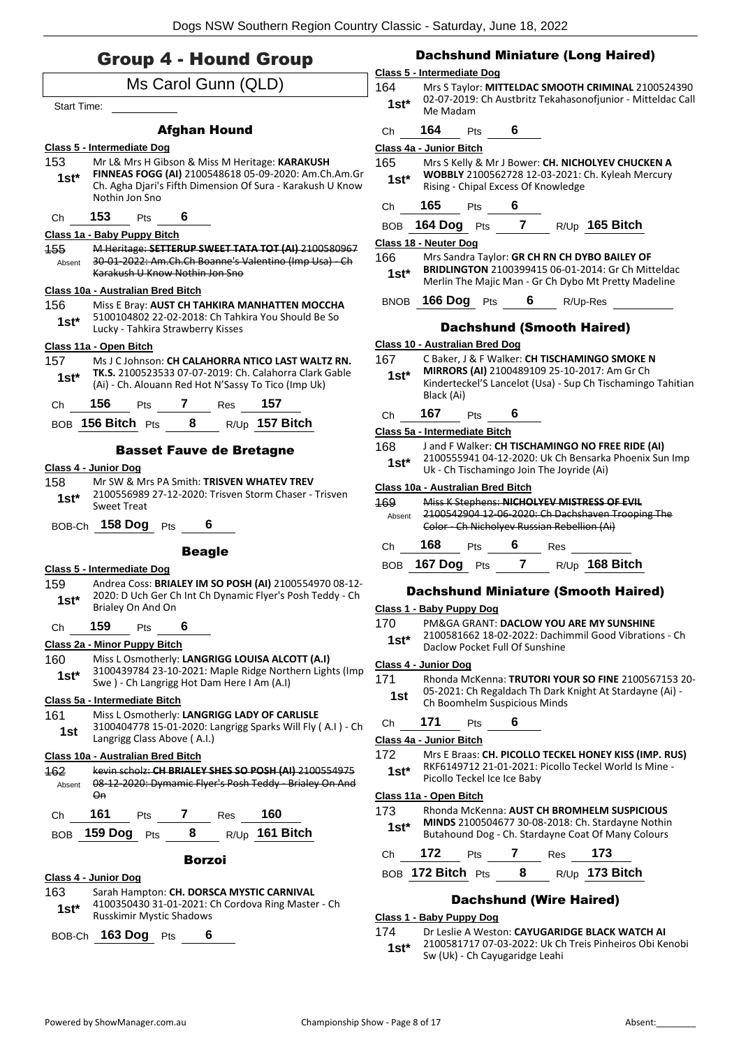# Group 4 - Hound Group

|                    | $\mathbf{r}$<br>$\blacksquare$                                                                                                                                                         |  |
|--------------------|----------------------------------------------------------------------------------------------------------------------------------------------------------------------------------------|--|
|                    | Ms Carol Gunn (QLD)                                                                                                                                                                    |  |
| <b>Start Time:</b> |                                                                                                                                                                                        |  |
|                    | <b>Afghan Hound</b>                                                                                                                                                                    |  |
|                    | Class 5 - Intermediate Dog                                                                                                                                                             |  |
| 153<br>$1st^*$     | Mr L& Mrs H Gibson & Miss M Heritage: KARAKUSH<br>FINNEAS FOGG (AI) 2100548618 05-09-2020: Am.Ch.Am.Gr<br>Ch. Agha Djari's Fifth Dimension Of Sura - Karakush U Know<br>Nothin Jon Sno |  |
| Ch                 | 153<br>Pts 6                                                                                                                                                                           |  |
|                    | Class 1a - Baby Puppy Bitch                                                                                                                                                            |  |
| 155<br>Absent      | M Heritage: SETTERUP SWEET TATA TOT (AI) 2100580967<br>30 01 2022: Am.Ch.Ch Boanne's Valentino (Imp Usa) Ch<br>Karakush U Know Nothin Jon Sno                                          |  |
| 156<br>$1st^*$     | Class 10a - Australian Bred Bitch<br>Miss E Bray: AUST CH TAHKIRA MANHATTEN MOCCHA<br>5100104802 22-02-2018: Ch Tahkira You Should Be So<br>Lucky - Tahkira Strawberry Kisses          |  |
|                    | Class 11a - Open Bitch                                                                                                                                                                 |  |
| 157<br>1st*        | Ms J C Johnson: CH CALAHORRA NTICO LAST WALTZ RN.<br><b>TK.S.</b> 2100523533 07-07-2019: Ch. Calahorra Clark Gable<br>(Ai) - Ch. Alouann Red Hot N'Sassy To Tico (Imp Uk)              |  |
|                    | Ch 156 Pts 7 Res 157                                                                                                                                                                   |  |
|                    | BOB 156 Bitch Pts 8 R/Up 157 Bitch                                                                                                                                                     |  |
|                    | <b>Basset Fauve de Bretagne</b>                                                                                                                                                        |  |
|                    | Class 4 - Junior Dog                                                                                                                                                                   |  |
| 158<br>1st*        | Mr SW & Mrs PA Smith: TRISVEN WHATEV TREV<br>2100556989 27-12-2020: Trisven Storm Chaser - Trisven<br><b>Sweet Treat</b>                                                               |  |
|                    | BOB-Ch 158 Dog Pts<br>$6 \quad -$                                                                                                                                                      |  |
|                    | <b>Beagle</b>                                                                                                                                                                          |  |
|                    | Class 5 - Intermediate Dog                                                                                                                                                             |  |
| $1st^*$            | 159 Andrea Coss: BRIALEY IM SO POSH (AI) 2100554970 08-12-<br>2020: D Uch Ger Ch Int Ch Dynamic Flyer's Posh Teddy - Ch<br>Brialey On And On                                           |  |
| Сh                 | 159<br>6<br>Pts                                                                                                                                                                        |  |
|                    | Class 2a - Minor Puppy Bitch                                                                                                                                                           |  |
| 160  <br>$1st^*$   | Miss L Osmotherly: LANGRIGG LOUISA ALCOTT (A.I)<br>3100439784 23-10-2021: Maple Ridge Northern Lights (Imp<br>Swe) - Ch Langrigg Hot Dam Here I Am (A.I)                               |  |
|                    | Class 5a - Intermediate Bitch                                                                                                                                                          |  |
| 161<br>1st         | Miss L Osmotherly: LANGRIGG LADY OF CARLISLE<br>3100404778 15-01-2020: Langrigg Sparks Will Fly (A.I) - Ch<br>Langrigg Class Above (A.I.)                                              |  |
|                    | Class 10a - Australian Bred Bitch                                                                                                                                                      |  |
| 162<br>Absent      | kevin scholz: CH BRIALEY SHES SO POSH (AI) 2100554975<br>08 12 2020: Dymamic Flyer's Posh Teddy Brialey On And<br>Оn                                                                   |  |
| Ch                 | 161<br><b>7</b> Res <b>160</b><br>Pts                                                                                                                                                  |  |
| BOB.               | R/Up <b>161 Bitch</b><br>159 Dog Pts<br>8                                                                                                                                              |  |
|                    | Borzoi                                                                                                                                                                                 |  |
|                    | Class 4 - Junior Dog                                                                                                                                                                   |  |

# 163 Sarah Hampton: **CH. DORSCA MYSTIC CARNIVAL**

4100350430 31-01-2021: Ch Cordova Ring Master - Ch Russkimir Mystic Shadows **1st\***

BOB-Ch **163 Dog** Pts **6**

# Dachshund Miniature (Long Haired)

#### **Class 5 - Intermediate Dog**

164 Mrs S Taylor: **MITTELDAC SMOOTH CRIMINAL** 2100524390 02-07-2019: Ch Austbritz Tekahasonofjunior - Mitteldac Call **1st**\* 02-07-2019<br>Me Madam

# Ch **164** Pts **6**

#### **Class 4a - Junior Bitch**

165 Mrs S Kelly & Mr J Bower: **CH. NICHOLYEV CHUCKEN A WOBBLY** 2100562728 12-03-2021: Ch. Kyleah Mercury **1st\* WOBBLY** 2100562728 12-03-2021: **1**<br>Rising - Chipal Excess Of Knowledge

# Ch **165** Pts **6**

BOB **164 Dog** Pts **7** R/Up **165 Bitch**

#### **Class 18 - Neuter Dog**

- 166 Mrs Sandra Taylor: **GR CH RN CH DYBO BAILEY OF BRIDLINGTON** 2100399415 06-01-2014: Gr Ch Mitteldac Merlin The Majic Man - Gr Ch Dybo Mt Pretty Madeline **1st\***
- BNOB **166 Dog** Pts **6** R/Up-Res

# Dachshund (Smooth Haired)

#### **Class 10 - Australian Bred Dog**

167 C Baker, J & F Walker: **CH TISCHAMINGO SMOKE N MIRRORS (AI)** 2100489109 25-10-2017: Am Gr Ch Kinderteckel'S Lancelot (Usa) - Sup Ch Tischamingo Tahitian Black (Ai) **1st\***

# Ch **167** Pts **6**

#### **Class 5a - Intermediate Bitch**

168 J and F Walker: **CH TISCHAMINGO NO FREE RIDE (AI)** 2100555941 04-12-2020: Uk Ch Bensarka Phoenix Sun Imp Uk - Ch Tischamingo Join The Joyride (Ai) **1st\***

#### **Class 10a - Australian Bred Bitch**

| 169    |                    | Miss K Stephens: NICHOLYEV MISTRESS OF EVIL       |  |                                           |                  |  |  |  |
|--------|--------------------|---------------------------------------------------|--|-------------------------------------------|------------------|--|--|--|
| Absent |                    | 2100542904 12-06-2020: Ch Dachshaven Trooping The |  |                                           |                  |  |  |  |
|        |                    |                                                   |  | Color Ch Nicholyev Russian Rebellion (Ai) |                  |  |  |  |
| C.h    | 168                | Pts                                               |  | Res                                       |                  |  |  |  |
|        | <b>BOB</b> 167 Dog | <b>Pts</b>                                        |  |                                           | $R/UD$ 168 Bitch |  |  |  |

### Dachshund Miniature (Smooth Haired)

#### **Class 1 - Baby Puppy Dog**

- 170 PM&GA GRANT: **DACLOW YOU ARE MY SUNSHINE**
	- 2100581662 18-02-2022: Dachimmil Good Vibrations Ch **1st**\* 2100581662 18-02-2022: Dachis<br>Daclow Pocket Full Of Sunshine

#### **Class 4 - Junior Dog**

- 171 Rhonda McKenna: **TRUTORI YOUR SO FINE** 2100567153 20-
	- 05-2021: Ch Regaldach Th Dark Knight At Stardayne (Ai) **1st** US-2021: Ch Regaldach Th Dark is<br>Ch Boomhelm Suspicious Minds

# Ch **171** Pts **6**

#### **Class 4a - Junior Bitch**

# 172 Mrs E Braas: **CH. PICOLLO TECKEL HONEY KISS (IMP. RUS)**

RKF6149712 21-01-2021: Picollo Teckel World Is Mine - 1st<sup>\*</sup> RKF6149712 21-01-2021: I<br>Picollo Teckel Ice Ice Baby

# **Class 11a - Open Bitch**

#### 173 Rhonda McKenna: **AUST CH BROMHELM SUSPICIOUS**

**MINDS** 2100504677 30-08-2018: Ch. Stardayne Nothin Butahound Dog - Ch. Stardayne Coat Of Many Colours **1st\***

| €.h    | -172        |        |                    | 173         |  |
|--------|-------------|--------|--------------------|-------------|--|
| $\sim$ | $472$ Ditab | $\sim$ | $\sim$ $\mu$ $\mu$ | $472$ Dital |  |

# BOB **172 Bitch** Pts **8** R/Up **173 Bitch**

# Dachshund (Wire Haired)

#### **Class 1 - Baby Puppy Dog**

#### 174 Dr Leslie A Weston: **CAYUGARIDGE BLACK WATCH AI**

2100581717 07-03-2022: Uk Ch Treis Pinheiros Obi Kenobi **1st**\* 2100581717 07-03-2022: OK Ch<br>Sw (Uk) - Ch Cayugaridge Leahi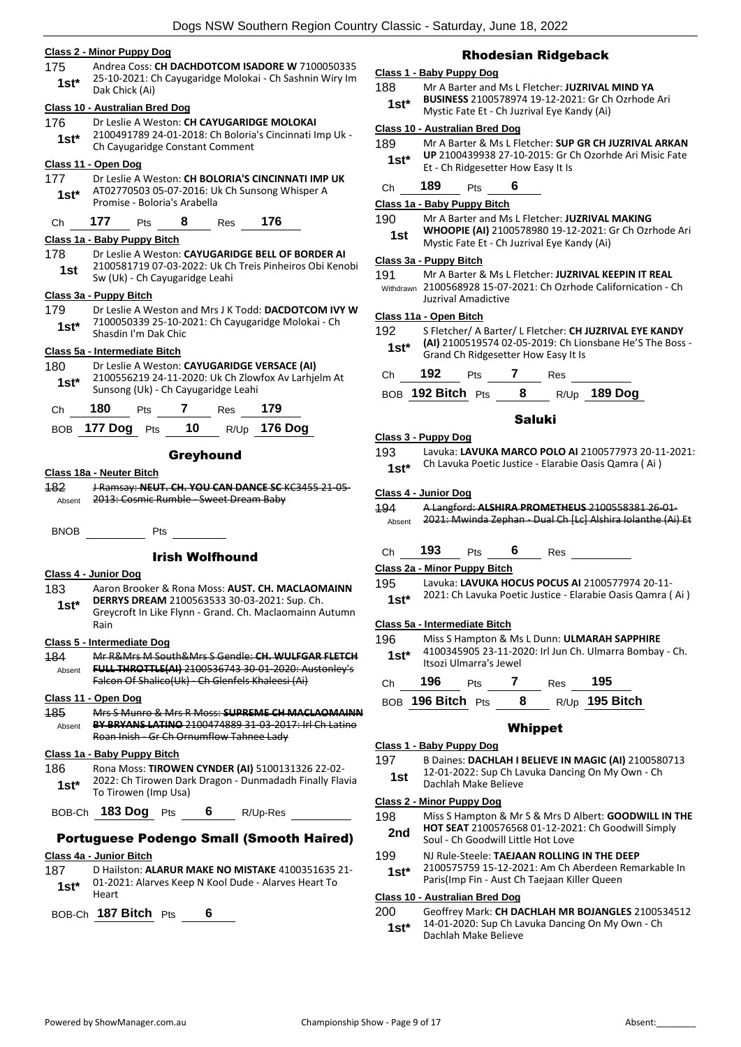#### **Class 2 - Minor Puppy Dog**

175 Andrea Coss: **CH DACHDOTCOM ISADORE W** 7100050335 25-10-2021: Ch Cayugaridge Molokai - Ch Sashnin Wiry Im 1st\* <sup>23-10-2021.</sup> University

#### **Class 10 - Australian Bred Dog**

176 Dr Leslie A Weston: **CH CAYUGARIDGE MOLOKAI** 2100491789 24-01-2018: Ch Boloria's Cincinnati Imp Uk - 1st\* 2100491789 24-01-2018: Ch Boloria<br>Ch Cayugaridge Constant Comment

#### **Class 11 - Open Dog**

177 Dr Leslie A Weston: **CH BOLORIA'S CINCINNATI IMP UK** AT02770503 05-07-2016: Uk Ch Sunsong Whisper A Promise - Boloria's Arabella **1st\***

# Ch **177** Pts **8** Res **176**

# **Class 1a - Baby Puppy Bitch**

- 178 Dr Leslie A Weston: **CAYUGARIDGE BELL OF BORDER AI** 2100581719 07-03-2022: Uk Ch Treis Pinheiros Obi Kenobi
	- **1st** Sw (Uk) Ch Cayugaridge Leahi

#### **Class 3a - Puppy Bitch**

179 Dr Leslie A Weston and Mrs J K Todd: **DACDOTCOM IVY W** 7100050339 25-10-2021: Ch Cayugaridge Molokai - Ch Shasdin I'm Dak Chic **1st\***

#### **Class 5a - Intermediate Bitch**

#### 180 Dr Leslie A Weston: **CAYUGARIDGE VERSACE (AI)**

2100556219 24-11-2020: Uk Ch Zlowfox Av Larhjelm At **1st** 2100556219 24-11-2020: UK Ch Zlow<br>Sunsong (Uk) - Ch Cayugaridge Leahi

| Ch | 180               | <b>Pts</b> |      | Res <b>179</b> |                      |
|----|-------------------|------------|------|----------------|----------------------|
|    | BOB $177$ Dog Pts |            | - 10 |                | R/Up 1 <b>76 Dog</b> |

#### Greyhound

#### **Class 18a - Neuter Bitch**

182 J Ramsay: **NEUT. CH. YOU CAN DANCE SC** KC3455 21-05- Absent 2013: Cosmic Rumble - Sweet Dream Baby

BNOB Pts

## Irish Wolfhound

#### **Class 4 - Junior Dog**

- 183 Aaron Brooker & Rona Moss: **AUST. CH. MACLAOMAINN**
- **DERRYS DREAM** 2100563533 30-03-2021: Sup. Ch. Greycroft In Like Flynn - Grand. Ch. Maclaomainn Autumn Rain **1st\***

#### **Class 5 - Intermediate Dog**

184 Mr R&Mrs M South&Mrs S Gendle: **CH. WULFGAR FLETCH FULL THROTTLE(AI)** 2100536743 30-01-2020: Austonley's Falcon Of Shalico(Uk) - Ch Glenfels Khaleesi (Ai) Absent

#### **Class 11 - Open Dog**

185 Mrs S Munro & Mrs R Moss: **SUPREME CH MACLAOMAINN BY BRYANS LATINO** 2100474889 31-03-2017: Irl Ch Latino Roan Inish Gr Ch Ornumflow Tahnee Lady Absent

### **Class 1a - Baby Puppy Bitch**

186 Rona Moss: **TIROWEN CYNDER (AI)** 5100131326 22-02- 2022: Ch Tirowen Dark Dragon - Dunmadadh Finally Flavia **1st** <br>To Tirowen (Imp Usa)

BOB-Ch **183 Dog** Pts **6** R/Up-Res

# Portuguese Podengo Small (Smooth Haired)

# **Class 4a - Junior Bitch**

- 187 D Hailston: **ALARUR MAKE NO MISTAKE** 4100351635 21- 01-2021: Alarves Keep N Kool Dude - Alarves Heart To  $1$ **st**<sup>\*</sup>  $\frac{01-20}{\text{Heart}}$
- BOB-Ch **187 Bitch** Pts **6**

# Rhodesian Ridgeback

# **Class 1 - Baby Puppy Dog**

- 188 Mr A Barter and Ms L Fletcher: **JUZRIVAL MIND YA** 
	- **BUSINESS** 2100578974 19-12-2021: Gr Ch Ozrhode Ari Mystic Fate Et - Ch Juzrival Eye Kandy (Ai) **1st\***

#### **Class 10 - Australian Bred Dog**

189 Mr A Barter & Ms L Fletcher: **SUP GR CH JUZRIVAL ARKAN UP** 2100439938 27-10-2015: Gr Ch Ozorhde Ari Misic Fate **1st\*** UP 2100439938 27-10-2015: Gr C<br>Et - Ch Ridgesetter How Easy It Is

# Ch **189** Pts **6**

#### **Class 1a - Baby Puppy Bitch**

- 190 Mr A Barter and Ms L Fletcher: **JUZRIVAL MAKING WHOOPIE (AI)** 2100578980 19-12-2021: Gr Ch Ozrhode Ari
- **1st WHOOPIE (AI)** 2100578980 19-12-2021: **19-11** Mystic Fate Et Ch Juzrival Eye Kandy (Ai)

#### **Class 3a - Puppy Bitch**

191 Mr A Barter & Ms L Fletcher: **JUZRIVAL KEEPIN IT REAL** 2100568928 15-07-2021: Ch Ozrhode Californication - Ch Juzrival Amadictive Withdrawn

#### **Class 11a - Open Bitch**

- 192 S Fletcher/ A Barter/ L Fletcher: **CH JUZRIVAL EYE KANDY (AI)** 2100519574 02-05-2019: Ch Lionsbane He'S The Boss -
- **1st\*** (AI) 2100519574 02-05-2019: Ch Lio<br>Grand Ch Ridgesetter How Easy It Is

| Ch. | 92            |    | ≺es |       |
|-----|---------------|----|-----|-------|
|     | - - - -<br>__ | -- |     | - - - |

#### BOB **192 Bitch** Pts **8** R/Up **189 Dog**

# Saluki

# **Class 3 - Puppy Dog**

193 Lavuka: **LAVUKA MARCO POLO AI** 2100577973 20-11-2021: Ch Lavuka Poetic Justice - Elarabie Oasis Qamra ( Ai ) **1st\***

#### **Class 4 - Junior Dog**

194 A Langford: **ALSHIRA PROMETHEUS** 2100558381 26-01- Absent 2021: Mwinda Zephan - Dual Ch [Lc] Alshira Iolanthe (Ai) Et

| Ch | 193 | Pts | 6 | Res |  |
|----|-----|-----|---|-----|--|
|    |     |     |   |     |  |

- 195 Lavuka: **LAVUKA HOCUS POCUS AI** 2100577974 20-11-
- 2021: Ch Lavuka Poetic Justice Elarabie Oasis Qamra ( Ai ) **1st\***

#### **Class 5a - Intermediate Bitch**

- 196 Miss S Hampton & Ms L Dunn: **ULMARAH SAPPHIRE**
- 4100345905 23-11-2020: Irl Jun Ch. Ulmarra Bombay Ch. Itsozi Ulmarra's Jewel **1st\***
- Ch **196** Pts **7** Res **195** BOB **196 Bitch** Pts **8** R/Up **195 Bitch**

#### Whippet

#### **Class 1 - Baby Puppy Dog**

197 B Daines: **DACHLAH I BELIEVE IN MAGIC (AI)** 2100580713 12-01-2022: Sup Ch Lavuka Dancing On My Own - Ch **1st 12-01-2022:** Sup Cri La<br>Dachlah Make Believe

#### **Class 2 - Minor Puppy Dog**

198 Miss S Hampton & Mr S & Mrs D Albert: **GOODWILL IN THE HOT SEAT** 2100576568 01-12-2021: Ch Goodwill Simply

- **2nd EQUI SEAT 2100576566 01-12-202**<br>Soul Ch Goodwill Little Hot Love
- 199 NJ Rule-Steele: **TAEJAAN ROLLING IN THE DEEP**
- 2100575759 15-12-2021: Am Ch Aberdeen Remarkable In Paris(Imp Fin - Aust Ch Taejaan Killer Queen **1st\***

### **Class 10 - Australian Bred Dog**

200 Geoffrey Mark: **CH DACHLAH MR BOJANGLES** 2100534512 14-01-2020: Sup Ch Lavuka Dancing On My Own - Ch Dachlah Make Believe **1st\***

**Class 2a - Minor Puppy Bitch**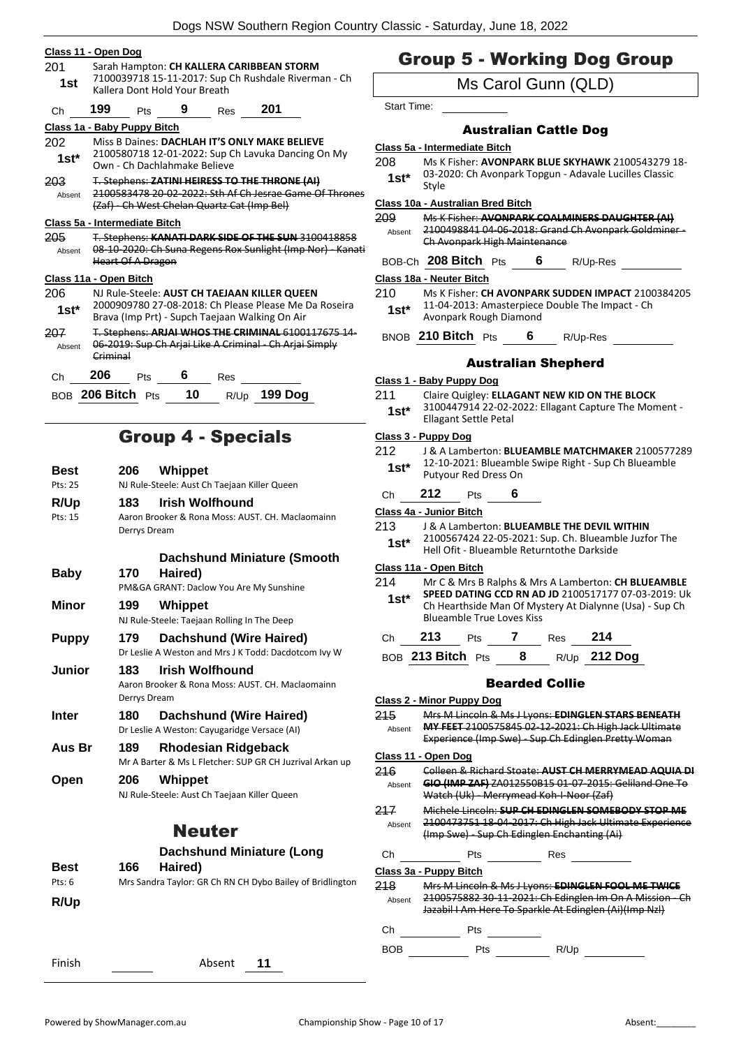|         | Class 11 - Open Dog                                                                                     |
|---------|---------------------------------------------------------------------------------------------------------|
| 201     | Sarah Hampton: CH KALLERA CARIBBEAN STORM                                                               |
| 1st     | 7100039718 15-11-2017: Sup Ch Rushdale Riverman - Ch<br>Kallera Dont Hold Your Breath                   |
| Ch      | 199 Pts 9 Res 201                                                                                       |
|         | Class 1a - Baby Puppy Bitch                                                                             |
| 202     | Miss B Daines: DACHLAH IT'S ONLY MAKE BELIEVE                                                           |
| $1st^*$ | 2100580718 12-01-2022: Sup Ch Lavuka Dancing On My<br>Own - Ch Dachlahmake Believe                      |
| 203     | T. Stephens: ZATINI HEIRESS TO THE THRONE (AI)                                                          |
| Absent  | 2100583478 20-02-2022: Sth Af Ch Jesrae Game Of Thrones<br>(Zaf) - Ch West Chelan Quartz Cat (Imp Bel)  |
|         | Class 5a - Intermediate Bitch                                                                           |
| 205     | T. Stephens: KANATI DARK SIDE OF THE SUN 3100418858                                                     |
| Absent  | 08-10-2020: Ch Suna Regens Rox Sunlight (Imp Nor) - Kanati                                              |
|         | <b>Heart Of A Dragon</b>                                                                                |
|         | Class 11a - Open Bitch                                                                                  |
| 206     | NJ Rule-Steele: AUST CH TAEJAAN KILLER QUEEN                                                            |
| $1st^*$ | 2000909780 27-08-2018: Ch Please Please Me Da Roseira<br>Brava (Imp Prt) - Supch Taejaan Walking On Air |
| 207     | T. Stephens: ARJAI WHOS THE CRIMINAL 6100117675 14-                                                     |
| Absent  | 06-2019: Sup Ch Arjai Like A Criminal - Ch Arjai Simply<br>Criminal                                     |
| Ch      | 206<br>$Pts$ 6<br>Res                                                                                   |
|         | BOB 206 Bitch Pts 10<br>$R/Up$ 199 Dog                                                                  |
|         |                                                                                                         |
|         |                                                                                                         |

# Group 4 - Specials

| Best        | 206          | Whippet                                                   |
|-------------|--------------|-----------------------------------------------------------|
| Pts: 25     |              | NJ Rule-Steele: Aust Ch Taejaan Killer Queen              |
| <b>R/Up</b> | 183.         | <b>Irish Wolfhound</b>                                    |
| Pts: 15     |              | Aaron Brooker & Rona Moss: AUST, CH, Maclaomainn          |
|             | Derrys Dream |                                                           |
|             |              | <b>Dachshund Miniature (Smooth</b>                        |
| Baby        | 170          | Haired)                                                   |
|             |              | PM&GA GRANT: Daclow You Are My Sunshine                   |
| Minor       | 199          | Whippet                                                   |
|             |              | NJ Rule-Steele: Taejaan Rolling In The Deep               |
| Puppy       | 179          | <b>Dachshund (Wire Haired)</b>                            |
|             |              | Dr Leslie A Weston and Mrs J K Todd: Dacdotcom Ivy W      |
| Junior      | 183          | Irish Wolfhound                                           |
|             | Derrys Dream | Aaron Brooker & Rona Moss: AUST, CH, Maclaomainn          |
| Inter       | 180          | Dachshund (Wire Haired)                                   |
|             |              | Dr Leslie A Weston: Cayugaridge Versace (AI)              |
| Aus Br      | 189          | <b>Rhodesian Ridgeback</b>                                |
|             |              | Mr A Barter & Ms L Fletcher: SUP GR CH Juzrival Arkan up  |
| Open        | 206          | Whippet                                                   |
|             |              | NJ Rule-Steele: Aust Ch Taejaan Killer Queen              |
|             |              |                                                           |
|             |              | <b>Neuter</b>                                             |
|             |              | <b>Dachshund Miniature (Long</b>                          |
| Best        | 166          | Haired)                                                   |
| Pts: 6      |              | Mrs Sandra Taylor: GR Ch RN CH Dybo Bailey of Bridlington |
| <b>R/Up</b> |              |                                                           |
|             |              |                                                           |

# Group 5 - Working Dog Group

Ms Carol Gunn (QLD)

Start Time:

# Australian Cattle Dog

#### **Class 5a - Intermediate Bitch**

- 208 Ms K Fisher: **AVONPARK BLUE SKYHAWK** 2100543279 18-
- 03-2020: Ch Avonpark Topgun Adavale Lucilles Classic Style **1st\***

## **Class 10a - Australian Bred Bitch**

209 Ms K Fisher: **AVONPARK COALMINERS DAUGHTER (AI)** 2100498841 04-06-2018: Grand Ch Avonpark Goldminer - Ch Avonpark High Maintenance Absent

BOB-Ch **208 Bitch** Pts **6** R/Up-Res

#### **Class 18a - Neuter Bitch**

- 210 Ms K Fisher: **CH AVONPARK SUDDEN IMPACT** 2100384205 11-04-2013: Amasterpiece Double The Impact - Ch Avonpark Rough Diamond **1st\***
- BNOB **210 Bitch** Pts **6** R/Up-Res

# Australian Shepherd

#### **Class 1 - Baby Puppy Dog**

- 211 Claire Quigley: **ELLAGANT NEW KID ON THE BLOCK**
- 3100447914 22-02-2022: Ellagant Capture The Moment Ellagant Settle Petal **1st\***

### **Class 3 - Puppy Dog**

| 212    | J & A Lamberton: BLUEAMBLE MATCHMAKER 2100577289                             |
|--------|------------------------------------------------------------------------------|
| $1st*$ | 12-10-2021: Blueamble Swipe Right - Sup Ch Blueamble<br>Putyour Red Dress On |

Ch **212** Pts **6**

## **Class 4a - Junior Bitch**

| 213   | J & A Lamberton: BLUEAMBLE THE DEVIL WITHIN          |
|-------|------------------------------------------------------|
| $1e+$ | 2100567424 22-05-2021: Sup. Ch. Blueamble Juzfor The |

Hell Ofit - Blueamble Returntothe Darkside **1st\***

# **Class 11a - Open Bitch**

214 Mr C & Mrs B Ralphs & Mrs A Lamberton: **CH BLUEAMBLE SPEED DATING CCD RN AD JD** 2100517177 07-03-2019: Uk Ch Hearthside Man Of Mystery At Dialynne (Usa) - Sup Ch Blueamble True Loves Kiss **1st\***

| .Ch | 213               | <b>Pts</b> | Res | 214          |
|-----|-------------------|------------|-----|--------------|
|     | BOB 213 Bitch Pts |            |     | R/Up 212 Dog |

# Bearded Collie

|               | Class 2 - Minor Puppy Dog  |                                                                                                                                                                       |
|---------------|----------------------------|-----------------------------------------------------------------------------------------------------------------------------------------------------------------------|
| 215<br>Absent |                            | Mrs M Lincoln & Ms J Lyons: EDINGLEN STARS BENEATH<br>MY FEET 2100575845 02 12 2021: Ch High Jack Ultimate<br>Experience (Imp Swe) - Sup Ch Edinglen Pretty Woman     |
|               | <u>Class 11 - Open Dog</u> |                                                                                                                                                                       |
| 216<br>Absent |                            | Colleen & Richard Stoate: AUST CH MERRYMEAD AQUIA DI<br>GIO (IMP ZAF) ZA012550B15 01 07 2015: Geliland One To<br>Watch (Uk) - Merrymead Koh-I-Noor (Zaf)              |
| 217<br>Absent |                            | Michele Lincoln: SUP CH EDINGLEN SOMEBODY STOP ME<br>2100473751 18-04-2017: Ch High Jack Ultimate Experience<br>(Imp Swe) Sup Ch Edinglen Enchanting (Ai)             |
| Ch            | Pts                        | Res                                                                                                                                                                   |
|               | Class 3a - Puppy Bitch     |                                                                                                                                                                       |
| 218<br>Absent |                            | Mrs M Lincoln & Ms J Lyons: EDINGLEN FOOL ME TWICE<br>2100575882 30 11 2021: Ch Edinglen Im On A Mission Ch<br>Jazabil I Am Here To Sparkle At Edinglen (Ai)(Imp Nzl) |
| Сh            | Pts                        |                                                                                                                                                                       |
| BOB           | Pts                        | R/Up                                                                                                                                                                  |

Finish Absent **11**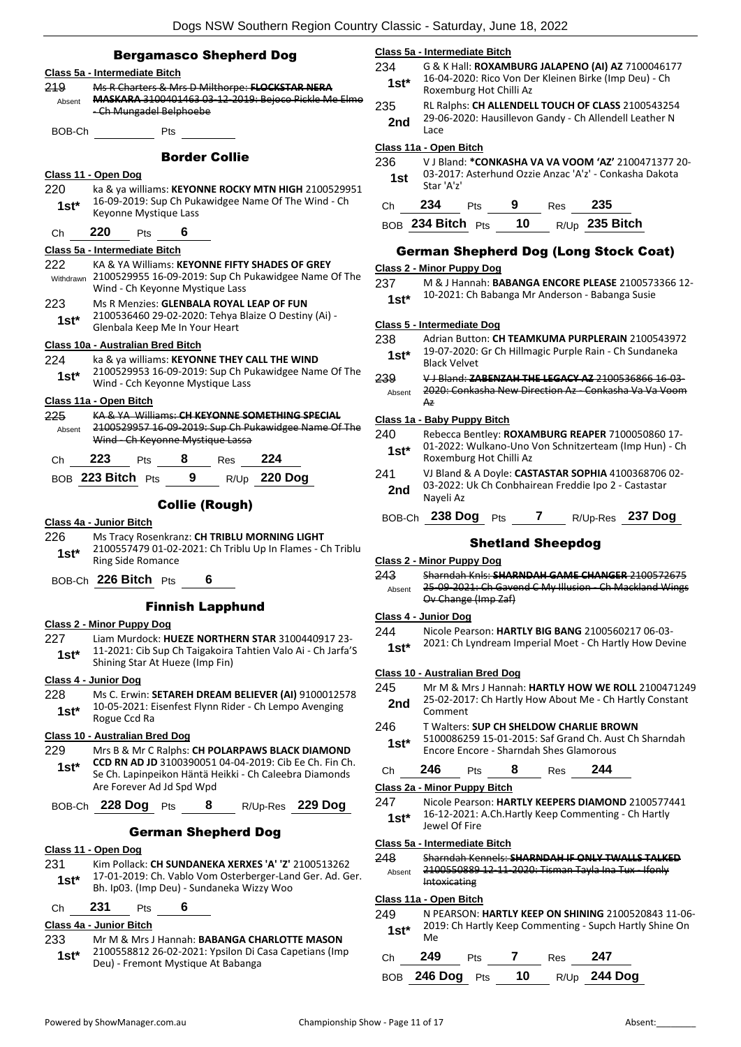# Bergamasco Shepherd Dog Contractor Contractor Contractor Contractor Contractor Contractor Contractor Contractor Contractor Contractor Contractor Contractor Contractor Contractor Contractor Contractor Contractor Contractor

|                                                                      |                                              |                                  |       | pergamasco onepneru vog          |                                                                |
|----------------------------------------------------------------------|----------------------------------------------|----------------------------------|-------|----------------------------------|----------------------------------------------------------------|
|                                                                      | Class 5a - Intermediate Bitch                |                                  |       |                                  |                                                                |
| 219                                                                  |                                              |                                  |       |                                  | Ms R Charters & Mrs D Milthorpe: FLOCKSTAR NERA                |
| Absent                                                               |                                              |                                  |       |                                  | MASKARA 3100401463 03-12-2019: Bejoco Pickle Me Elmo           |
|                                                                      |                                              | - Ch Mungadel Belphoebe          |       |                                  |                                                                |
| BOB-Ch                                                               |                                              | Pts                              |       |                                  |                                                                |
|                                                                      |                                              |                                  |       |                                  |                                                                |
|                                                                      |                                              |                                  |       | <b>Border Collie</b>             |                                                                |
|                                                                      | <u> Class 11 - Open Dog</u>                  |                                  |       |                                  |                                                                |
| 220                                                                  |                                              |                                  |       |                                  | ka & ya williams: KEYONNE ROCKY MTN HIGH 2100529951            |
| $1st^*$                                                              |                                              |                                  |       |                                  | 16-09-2019: Sup Ch Pukawidgee Name Of The Wind - Ch            |
|                                                                      |                                              | Keyonne Mystique Lass            |       |                                  |                                                                |
| Ch                                                                   | 220                                          | <b>Pts</b>                       | $6 -$ |                                  |                                                                |
|                                                                      | Class 5a - Intermediate Bitch                |                                  |       |                                  |                                                                |
| 222                                                                  |                                              |                                  |       |                                  | KA & YA Williams: KEYONNE FIFTY SHADES OF GREY                 |
|                                                                      |                                              |                                  |       |                                  | Withdrawn 2100529955 16-09-2019: Sup Ch Pukawidgee Name Of The |
|                                                                      |                                              | Wind - Ch Keyonne Mystique Lass  |       |                                  |                                                                |
| 223                                                                  |                                              |                                  |       |                                  | Ms R Menzies: GLENBALA ROYAL LEAP OF FUN                       |
| $1st^*$                                                              |                                              |                                  |       |                                  | 2100536460 29-02-2020: Tehya Blaize O Destiny (Ai) -           |
|                                                                      |                                              | Glenbala Keep Me In Your Heart   |       |                                  |                                                                |
|                                                                      | Class 10a - Australian Bred Bitch            |                                  |       |                                  |                                                                |
| 224                                                                  |                                              |                                  |       |                                  | ka & ya williams: KEYONNE THEY CALL THE WIND                   |
| $1st^*$                                                              |                                              |                                  |       |                                  | 2100529953 16-09-2019: Sup Ch Pukawidgee Name Of The           |
|                                                                      |                                              | Wind - Cch Keyonne Mystique Lass |       |                                  |                                                                |
|                                                                      | Class 11a - Open Bitch                       |                                  |       |                                  |                                                                |
| 225                                                                  |                                              |                                  |       |                                  | KA & YA Williams: CH KEYONNE SOMETHING SPECIAL                 |
| Absent                                                               |                                              |                                  |       |                                  | 2100529957 16-09-2019: Sup Ch Pukawidgee Name Of The           |
|                                                                      |                                              |                                  |       | Wind - Ch Keyonne Mystique Lassa |                                                                |
| Ch                                                                   | 223                                          |                                  |       | Pts 8 Res 224                    |                                                                |
|                                                                      |                                              |                                  |       |                                  | BOB 223 Bitch Pts 9 R/Up 220 Dog                               |
|                                                                      |                                              |                                  |       |                                  |                                                                |
| <b>Collie (Rough)</b>                                                |                                              |                                  |       |                                  |                                                                |
|                                                                      | Class 4a - Junior Bitch                      |                                  |       |                                  |                                                                |
| 226                                                                  | Ms Tracy Rosenkranz: CH TRIBLU MORNING LIGHT |                                  |       |                                  |                                                                |
| 2100557479 01-02-2021: Ch Triblu Up In Flames - Ch Triblu<br>$1st^*$ |                                              |                                  |       |                                  |                                                                |
| <b>Ring Side Romance</b>                                             |                                              |                                  |       |                                  |                                                                |
| BOB-Ch 226 Bitch Pts 6                                               |                                              |                                  |       |                                  |                                                                |
|                                                                      | <b>Finnish Lapphund</b>                      |                                  |       |                                  |                                                                |
|                                                                      |                                              |                                  |       |                                  |                                                                |

#### **Class 2 - Minor Puppy Dog**

227 Liam Murdock: **HUEZE NORTHERN STAR** 3100440917 23- 11-2021: Cib Sup Ch Taigakoira Tahtien Valo Ai - Ch Jarfa'S **1st 11-2021:** CID Sup CIT Talgarolian<br>Shining Star At Hueze (Imp Fin)

### **Class 4 - Junior Dog**

- 228 Ms C. Erwin: **SETAREH DREAM BELIEVER (AI)** 9100012578 10-05-2021: Eisenfest Flynn Rider - Ch Lempo Avenging
- 1st<sup>\*</sup> <sup>10-05-2021: E</sup><br>Rogue Ccd Ra

## **Class 10 - Australian Bred Dog**

Are Forever Ad Jd Spd Wpd

229 Mrs B & Mr C Ralphs: **CH POLARPAWS BLACK DIAMOND CCD RN AD JD** 3100390051 04-04-2019: Cib Ee Ch. Fin Ch. Se Ch. Lapinpeikon Häntä Heikki - Ch Caleebra Diamonds **1st\***

# BOB-Ch **228 Dog** Pts **8** R/Up-Res **229 Dog**

# German Shepherd Dog

- **Class 11 - Open Dog**
- 231 Kim Pollack: **CH SUNDANEKA XERXES 'A' 'Z'** 2100513262 17-01-2019: Ch. Vablo Vom Osterberger-Land Ger. Ad. Ger. **15t** 17-01-2019: Ch. Vablo Vom Osterberger-Lan<br>Bh. Ip03. (Imp Deu) - Sundaneka Wizzy Woo

# Ch **231** Pts **6**

# **Class 4a - Junior Bitch**

233 Mr M & Mrs J Hannah: **BABANGA CHARLOTTE MASON** 2100558812 26-02-2021: Ypsilon Di Casa Capetians (Imp Deu) - Fremont Mystique At Babanga **1st\***

# **Class 5a - Intermediate Bitch**

- 234 G & K Hall: **ROXAMBURG JALAPENO (AI) AZ** 7100046177 16-04-2020: Rico Von Der Kleinen Birke (Imp Deu) - Ch 1st<sup>\*</sup> 10-04-2020. NICO VOIT DE
- 235 RL Ralphs: **CH ALLENDELL TOUCH OF CLASS** 2100543254 29-06-2020: Hausillevon Gandy - Ch Allendell Leather N<br>Lace Lace **2nd**

# **Class 11a - Open Bitch**

236 V J Bland: **\*CONKASHA VA VA VOOM 'AZ'** 2100471377 20- 03-2017: Asterhund Ozzie Anzac 'A'z' - Conkasha Dakota **1st**  $\frac{03-2017}{\text{Star } 'A'z'}$ 

| Ch. | $234$ Pts            | - 9 | Res | - 235            |
|-----|----------------------|-----|-----|------------------|
|     | BOB 234 Bitch Pts 10 |     |     | $R/Up$ 235 Bitch |

# German Shepherd Dog (Long Stock Coat)

# **Class 2 - Minor Puppy Dog**

237 M & J Hannah: **BABANGA ENCORE PLEASE** 2100573366 12- 1st\* 10-2021: Ch Babanga Mr Anderson - Babanga Susie

#### **Class 5 - Intermediate Dog**

- 238 Adrian Button: **CH TEAMKUMA PURPLERAIN** 2100543972 19-07-2020: Gr Ch Hillmagic Purple Rain - Ch Sundaneka **1st**\* 19-07-2020:<br>Black Velvet
- 239 V J Bland: **ZABENZAH THE LEGACY AZ** 2100536866 16-03- 2020: Conkasha New Direction Az - Conkasha Va Va Voom Az Absent

#### **Class 1a - Baby Puppy Bitch**

- 240 Rebecca Bentley: **ROXAMBURG REAPER** 7100050860 17- 01-2022: Wulkano-Uno Von Schnitzerteam (Imp Hun) - Ch **1st**\* UI-2022: Wulkano-Uno
- 241 VJ Bland & A Doyle: **CASTASTAR SOPHIA** 4100368706 02- 03-2022: Uk Ch Conbhairean Freddie Ipo 2 - Castastar **2nd** U<sub>2</sub>-2022:
- BOB-Ch **238 Dog** Pts **7** R/Up-Res **237 Dog**

#### Shetland Sheepdog

#### **Class 2 - Minor Puppy Dog**

- 243 Sharndah Knls: **SHARNDAH GAME CHANGER** 2100572675
- 25-09-2021: Ch Gavend C My Illusion Ch Mackland Wings Ov Change (Imp Zaf) Absent

# **Class 4 - Junior Dog**

- 244 Nicole Pearson: **HARTLY BIG BANG** 2100560217 06-03-
- 1st\* 2021: Ch Lyndream Imperial Moet Ch Hartly How Devine

#### **Class 10 - Australian Bred Dog**

- 245 Mr M & Mrs J Hannah: **HARTLY HOW WE ROLL** 2100471249 25-02-2017: Ch Hartly How About Me - Ch Hartly Constant **2nd** <sup>25-02-201</sup><br>Comment
- 246 T Walters: **SUP CH SHELDOW CHARLIE BROWN**
	- 5100086259 15-01-2015: Saf Grand Ch. Aust Ch Sharndah Encore Encore - Sharndah Shes Glamorous **1st\***

| <b>DAC</b> | τs | 85. | 9 A A |
|------------|----|-----|-------|
|            |    |     |       |

#### **Class 2a - Minor Puppy Bitch**

247 Nicole Pearson: **HARTLY KEEPERS DIAMOND** 2100577441 16-12-2021: A.Ch.Hartly Keep Commenting - Ch Hartly 1st<sup>\*</sup> <sup>10-12-2021:</sup>

#### **Class 5a - Intermediate Bitch**

- 248 Sharndah Kennels: **SHARNDAH IF ONLY TWALLS TALKED**
- 2100550889 12-11-2020: Tisman Tayla Ina Tux Ifonly Intoxicating Absent

#### **Class 11a - Open Bitch**

249 N PEARSON: **HARTLY KEEP ON SHINING** 2100520843 11-06- 2019: Ch Hartly Keep Commenting - Supch Hartly Shine On **1st**<sup>\*</sup>  $\frac{201}{Me}$ 

| Ch | 249             | <b>Pts</b> |    | Res | - 247               |
|----|-----------------|------------|----|-----|---------------------|
|    | BOB 246 Dog Pts |            | 10 |     | R/Up <b>244 Dog</b> |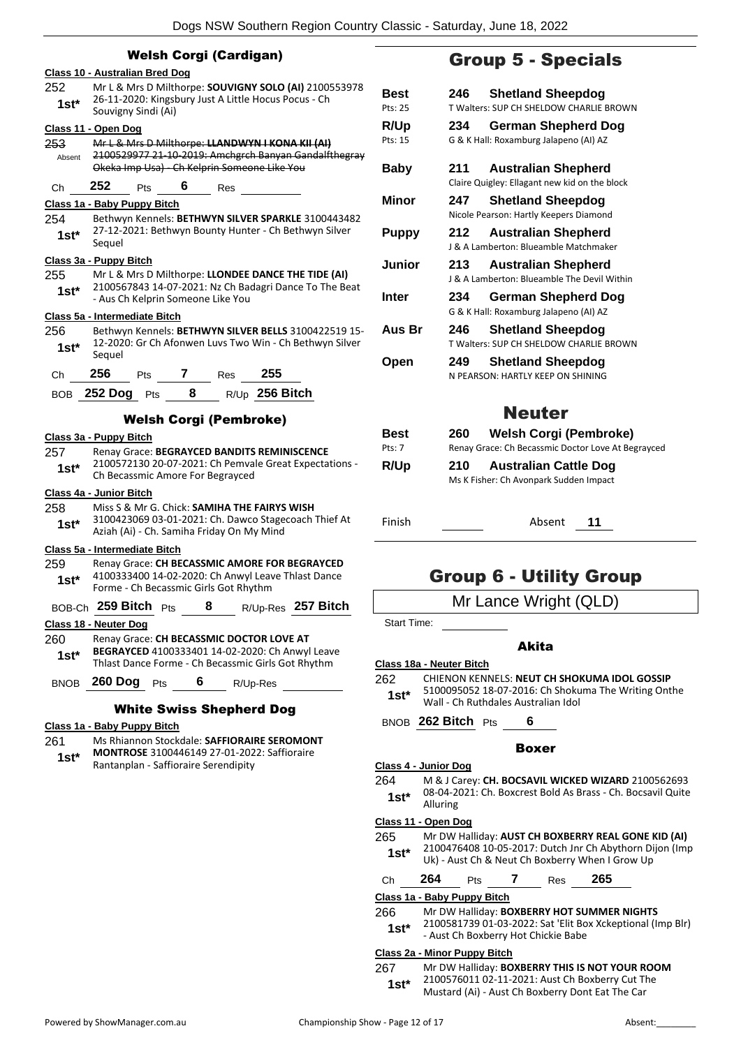|               | <b>Welsh Corgi (Cardigan)</b>                                                                                         |           |
|---------------|-----------------------------------------------------------------------------------------------------------------------|-----------|
|               | Class 10 - Australian Bred Dog                                                                                        |           |
| 252           | Mr L & Mrs D Milthorpe: SOUVIGNY SOLO (AI) 2100553978                                                                 | Bе        |
| 1st*          | 26-11-2020: Kingsbury Just A Little Hocus Pocus - Ch<br>Souvigny Sindi (Ai)                                           | Pts:      |
|               | Class 11 - Open Dog                                                                                                   | R/l       |
| 253           | Mr L & Mrs D Milthorpe: LLANDWYN I KONA KII (AI)                                                                      | Pts:      |
| Absent        | 2100529977 21-10-2019: Amchgrch Banyan Gandalfthegray<br>Okeka Imp Usa) - Ch Kelprin Someone Like You                 | Ва        |
| Сh            | 252<br>6.<br><b>Pts</b><br>Res                                                                                        |           |
|               | <u> Class 1a - Baby Puppy Bitch</u>                                                                                   | Mil       |
| 254<br>$1st*$ | Bethwyn Kennels: BETHWYN SILVER SPARKLE 3100443482<br>27-12-2021: Bethwyn Bounty Hunter - Ch Bethwyn Silver<br>Sequel | Pu        |
|               | Class 3a - Puppy Bitch                                                                                                | Ju        |
| 255           | Mr L & Mrs D Milthorpe: LLONDEE DANCE THE TIDE (AI)<br>2100567843 14-07-2021: Nz Ch Badagri Dance To The Beat         |           |
| $1st^*$       | - Aus Ch Kelprin Someone Like You<br>Class 5a - Intermediate Bitch                                                    | Int       |
| 256           | Bethwyn Kennels: BETHWYN SILVER BELLS 3100422519 15-                                                                  | Au        |
| $1st*$        | 12-2020: Gr Ch Afonwen Luvs Two Win - Ch Bethwyn Silver<br>Sequel                                                     |           |
| Сh            | 256<br>$\mathbf{7}$<br>255<br>Pts<br><b>Res</b>                                                                       | Оp        |
| BOB           | R/Up 256 Bitch<br>252 Dog Pts<br>- 8                                                                                  |           |
|               |                                                                                                                       |           |
|               | <b>Welsh Corgi (Pembroke)</b>                                                                                         |           |
|               | Class 3a - Puppy Bitch                                                                                                |           |
| 257           | Renay Grace: BEGRAYCED BANDITS REMINISCENCE                                                                           |           |
| $1st*$        | 2100572130 20-07-2021: Ch Pemvale Great Expectations -<br>Ch Becassmic Amore For Begrayced                            | R/l       |
|               | Class 4a - Junior Bitch                                                                                               |           |
| 258           | Miss S & Mr G. Chick: SAMIHA THE FAIRYS WISH                                                                          |           |
| 1st*          | 3100423069 03-01-2021: Ch. Dawco Stagecoach Thief At<br>Aziah (Ai) - Ch. Samiha Friday On My Mind                     | Fin       |
|               | Class 5a - Intermediate Bitch                                                                                         |           |
| 259           | Renay Grace: CH BECASSMIC AMORE FOR BEGRAYCED                                                                         |           |
| $1st*$        | 4100333400 14-02-2020: Ch Anwyl Leave Thlast Dance<br>Forme - Ch Becassmic Girls Got Rhythm                           |           |
|               | BOB-Ch 259 Bitch Pts<br>R/Up-Res 257 Bitch<br>8                                                                       |           |
|               | <u>Class 18 - Neuter Dog</u>                                                                                          |           |
| 260           | Renay Grace: CH BECASSMIC DOCTOR LOVE AT                                                                              |           |
| $1st*$        | BEGRAYCED 4100333401 14-02-2020: Ch Anwyl Leave                                                                       |           |
|               | Thlast Dance Forme - Ch Becassmic Girls Got Rhythm                                                                    | Clas:     |
| <b>BNOB</b>   | 260 Dog Pts 6 R/Up-Res                                                                                                | 262       |
|               | <b>White Swiss Shepherd Dog</b>                                                                                       |           |
|               |                                                                                                                       | <b>BN</b> |
| 261           | Class 1a - Baby Puppy Bitch<br>Ms Rhiannon Stockdale: SAFFIORAIRE SEROMONT                                            |           |
|               | <b>MONTROSE</b> 3100446149 27-01-2022: Saffioraire                                                                    |           |
| $1st*$        | Rantanplan - Saffioraire Serendipity                                                                                  | Clas:     |
|               |                                                                                                                       | 264       |
|               |                                                                                                                       |           |
|               |                                                                                                                       |           |
|               |                                                                                                                       | Clas:     |

# Group 5 - Specials

| Best<br>Pts: 25 | 246 | <b>Shetland Sheepdog</b><br>T Walters: SUP CH SHELDOW CHARLIF BROWN                 |
|-----------------|-----|-------------------------------------------------------------------------------------|
| R/Up<br>Pts: 15 | 234 | German Shepherd Dog<br>G & K Hall: Roxamburg Jalapeno (AI) AZ                       |
| Baby            | 211 | <b>Australian Shepherd</b><br>Claire Quigley: Ellagant new kid on the block         |
| Minor           | 247 | <b>Shetland Sheepdog</b><br>Nicole Pearson: Hartly Keepers Diamond                  |
| Puppy           | 212 | <b>Australian Shepherd</b><br>1& A Lamberton: Blueamble Matchmaker                  |
| Junior          | 213 | <b>Australian Shepherd</b><br>J & A Lamberton: Blueamble The Devil Within           |
| Inter           | 234 | German Shepherd Dog<br>G & K Hall: Roxamburg Jalapeno (AI) AZ                       |
| Aus Br          | 246 | <b>Shetland Sheepdog</b><br>T Walters: SUP CH SHELDOW CHARLIF BROWN                 |
| Open            | 249 | <b>Shetland Sheepdog</b><br>N PEARSON: HARTIY KEEP ON SHINING                       |
|                 |     | <b>Neuter</b>                                                                       |
| Best<br>Pts: 7  | 260 | <b>Welsh Corgi (Pembroke)</b><br>Renay Grace: Ch Becassmic Doctor Love At Begrayced |
| R/Up            | 210 | <b>Australian Cattle Dog</b><br>Ms K Fisher: Ch Avonpark Sudden Impact              |

Finish Absent **11**

# Group 6 - Utility Group

Mr Lance Wright (QLD)

art Time:

# Akita

# **Class 18a - Neuter Bitch**

- 262 CHIENON KENNELS: **NEUT CH SHOKUMA IDOL GOSSIP** 5100095052 18-07-2016: Ch Shokuma The Writing Onthe
- **st**\* 5100095052 18-07-2016: Ch Shoku<br>Wall Ch Ruthdales Australian Idol
- BNOB **262 Bitch** Pts **6**

#### Boxer

#### **Class 4 - Junior Dog** 264 M & J Carey: **CH. BOCSAVIL WICKED WIZARD** 2100562693 08-04-2021: Ch. Boxcrest Bold As Brass - Ch. Bocsavil Quite Alluring **1st\***

#### **Class 11 - Open Dog**

265 Mr DW Halliday: **AUST CH BOXBERRY REAL GONE KID (AI)** 2100476408 10-05-2017: Dutch Jnr Ch Abythorn Dijon (Imp **1st**  $\frac{21004}{1004}$  and  $\frac{10-03}{201}$ . Dutch Jnr Ch Abythorn Die Uk) - Aust Ch & Neut Ch Boxberry When I Grow Up

|                      | on, hast on a neat on boxberry milen i orom c |          |
|----------------------|-----------------------------------------------|----------|
| $\sim$ $\sim$ $\sim$ |                                               | $\cdots$ |

| ٠'n | 264 | Pts | Res | 265 |
|-----|-----|-----|-----|-----|
|     |     |     |     |     |

**Class 1a - Baby Puppy Bitch**

#### 266 Mr DW Halliday: **BOXBERRY HOT SUMMER NIGHTS**

2100581739 01-03-2022: Sat 'Elit Box Xckeptional (Imp Blr) **1st**\* 2100581739 01-03-2022: Sat 'Elit Boxberry Hot Chickie Babe

#### **Class 2a - Minor Puppy Bitch**

267 Mr DW Halliday: **BOXBERRY THIS IS NOT YOUR ROOM** 2100576011 02-11-2021: Aust Ch Boxberry Cut The Mustard (Ai) - Aust Ch Boxberry Dont Eat The Car **1st\***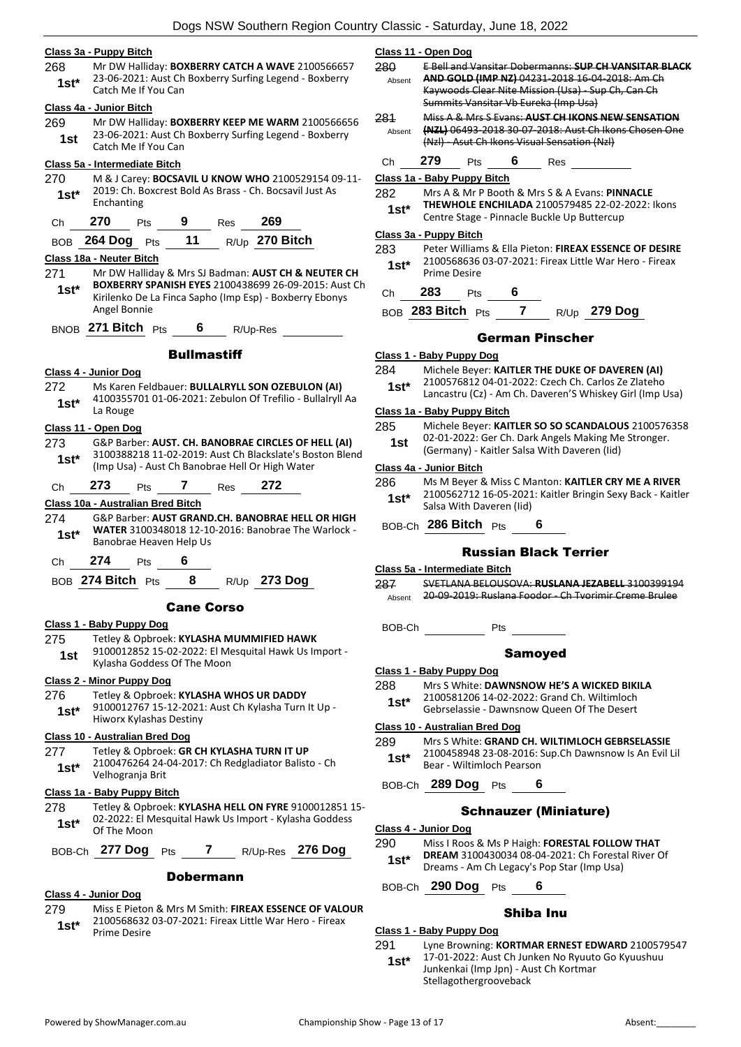#### **Class 3a - Puppy Bitch**

268 Mr DW Halliday: **BOXBERRY CATCH A WAVE** 2100566657 23-06-2021: Aust Ch Boxberry Surfing Legend - Boxberry **1st 1st 1st 1st 1st 1st 1st 1st 1st 1st 1st 1st 1st 1st 1st 1st 1st 1st 1st 1st 1st 1st 1st 1st 1st 1st 1st 1st 1st 1st 1st 1st 1st 1st 1st 1st 1st**

#### **Class 4a - Junior Bitch**

269 Mr DW Halliday: **BOXBERRY KEEP ME WARM** 2100566656 23-06-2021: Aust Ch Boxberry Surfing Legend - Boxberry **1st 1st** Catch Me If You Can

#### **Class 5a - Intermediate Bitch**

- 270 M & J Carey: **BOCSAVIL U KNOW WHO** 2100529154 09-11- 2019: Ch. Boxcrest Bold As Brass - Ch. Bocsavil Just As 1st<sup>\*</sup> <sup>2019: Ch. B</sup><br>Enchanting
- Ch **270** Pts **9** Res **269**

BOB **264 Dog** Pts **11** R/Up **270 Bitch**

# **Class 18a - Neuter Bitch**

- 271 Mr DW Halliday & Mrs SJ Badman: **AUST CH & NEUTER CH BOXBERRY SPANISH EYES** 2100438699 26-09-2015: Aust Ch Kirilenko De La Finca Sapho (Imp Esp) - Boxberry Ebonys Angel Bonnie **1st\***
- BNOB **271 Bitch** Pts **6** R/Up-Res

#### **Bullmastiff**

#### **Class 4 - Junior Dog**

- 272 Ms Karen Feldbauer: **BULLALRYLL SON OZEBULON (AI)**
- 4100355701 01-06-2021: Zebulon Of Trefilio Bullalryll Aa **1st**\*  $\frac{4100355}{\text{La Rouge}}$

#### **Class 11 - Open Dog**

273 G&P Barber: **AUST. CH. BANOBRAE CIRCLES OF HELL (AI)** 3100388218 11-02-2019: Aust Ch Blackslate's Boston Blend (Imp Usa) - Aust Ch Banobrae Hell Or High Water **1st\***

Ch **273** Pts **7** Res **272**

# **Class 10a - Australian Bred Bitch**

274 G&P Barber: **AUST GRAND.CH. BANOBRAE HELL OR HIGH WATER** 3100348018 12-10-2016: Banobrae The Warlock - Banobrae Heaven Help Us **1st\***

Ch **274** Pts **6**

BOB **274 Bitch** Pts **8** R/Up **273 Dog**

#### Cane Corso

#### **Class 1 - Baby Puppy Dog**

275 Tetley & Opbroek: **KYLASHA MUMMIFIED HAWK** 9100012852 15-02-2022: El Mesquital Hawk Us Import - **1st** 9100012852 15-02-2022: Elimit<br>Kylasha Goddess Of The Moon

#### **Class 2 - Minor Puppy Dog**

#### 276 Tetley & Opbroek: **KYLASHA WHOS UR DADDY**

9100012767 15-12-2021: Aust Ch Kylasha Turn It Up - Hiworx Kylashas Destiny **1st\***

# **Class 10 - Australian Bred Dog**

277 Tetley & Opbroek: **GR CH KYLASHA TURN IT UP** 2100476264 24-04-2017: Ch Redgladiator Balisto - Ch Velhogranja Brit **1st\***

#### **Class 1a - Baby Puppy Bitch**

278 Tetley & Opbroek: **KYLASHA HELL ON FYRE** 9100012851 15- 02-2022: El Mesquital Hawk Us Import - Kylasha Goddess **1st**\* 02-2022: EI M<br>Of The Moon

BOB-Ch **277 Dog** Pts **7** R/Up-Res **276 Dog**

#### Dobermann

#### **Class 4 - Junior Dog**

279 Miss E Pieton & Mrs M Smith: **FIREAX ESSENCE OF VALOUR** 2100568632 03-07-2021: Fireax Little War Hero - Fireax Prime Desire **1st\***

#### **Class 11 - Open Dog**

280 E Bell and Vansitar Dobermanns: **SUP CH VANSITAR BLACK AND GOLD (IMP NZ)** 04231-2018 16-04-2018: Am Ch Kaywoods Clear Nite Mission (Usa) - Sup Ch, Can Ch Summits Vansitar Vb Eureka (Imp Usa) Absent 281 Miss A & Mrs S Evans: **AUST CH IKONS NEW SENSATION (NZL)** 06493-2018 30-07-2018: Aust Ch Ikons Chosen One (Nzl) - Asut Ch Ikons Visual Sensation (Nzl) Absent Ch **279** Pts **6** Res **Class 1a - Baby Puppy Bitch** 282 Mrs A & Mr P Booth & Mrs S & A Evans: **PINNACLE THEWHOLE ENCHILADA** 2100579485 22-02-2022: Ikons Centre Stage - Pinnacle Buckle Up Buttercup **1st\* Class 3a - Puppy Bitch** 283 Peter Williams & Ella Pieton: **FIREAX ESSENCE OF DESIRE** 2100568636 03-07-2021: Fireax Little War Hero - Fireax Prime Desire **1st\*** Ch **283** Pts **6** BOB **283 Bitch** Pts **7** R/Up **279 Dog** German Pinscher

#### **Class 1 - Baby Puppy Dog**

- 284 Michele Beyer: **KAITLER THE DUKE OF DAVEREN (AI)**
- 2100576812 04-01-2022: Czech Ch. Carlos Ze Zlateho
- Lancastru (Cz) Am Ch. Daveren'S Whiskey Girl (Imp Usa) **1st\***

#### **Class 1a - Baby Puppy Bitch**

- 285 Michele Beyer: **KAITLER SO SO SCANDALOUS** 2100576358 02-01-2022: Ger Ch. Dark Angels Making Me Stronger.
- (Germany) Kaitler Salsa With Daveren (Iid) **1st**

#### **Class 4a - Junior Bitch**

286 Ms M Beyer & Miss C Manton: **KAITLER CRY ME A RIVER** 2100562712 16-05-2021: Kaitler Bringin Sexy Back - Kaitler Salsa With Daveren (Iid) **1st\***

BOB-Ch **286 Bitch** Pts **6**

# Russian Black Terrier

### **Class 5a - Intermediate Bitch**

287 SVETLANA BELOUSOVA: **RUSLANA JEZABELL** 3100399194 Absent 20-09-2019: Ruslana Foodor - Ch Tvorimir Creme Brulee

#### Samoyed

- **Class 1 - Baby Puppy Dog**
- 288 Mrs S White: **DAWNSNOW HE'S A WICKED BIKILA**
	- 2100581206 14-02-2022: Grand Ch. Wiltimloch
	- Gebrselassie Dawnsnow Queen Of The Desert **1st\***

#### **Class 10 - Australian Bred Dog**

- 289 Mrs S White: **GRAND CH. WILTIMLOCH GEBRSELASSIE** 2100458948 23-08-2016: Sup.Ch Dawnsnow Is An Evil Lil Bear - Wiltimloch Pearson **1st\***
- BOB-Ch **289 Dog** Pts **6**

# Schnauzer (Miniature)

- **Class 4 - Junior Dog**
- 290 Miss I Roos & Ms P Haigh: **FORESTAL FOLLOW THAT** 
	- **DREAM** 3100430034 08-04-2021: Ch Forestal River Of Dreams - Am Ch Legacy's Pop Star (Imp Usa) **1st\***
- BOB-Ch **290 Dog** Pts **6**

# Shiba Inu

# **Class 1 - Baby Puppy Dog**

- 291 Lyne Browning: **KORTMAR ERNEST EDWARD** 2100579547
- 17-01-2022: Aust Ch Junken No Ryuuto Go Kyuushuu Junkenkai (Imp Jpn) - Aust Ch Kortmar Stellagothergrooveback **1st\***
- BOB-Ch Pts
-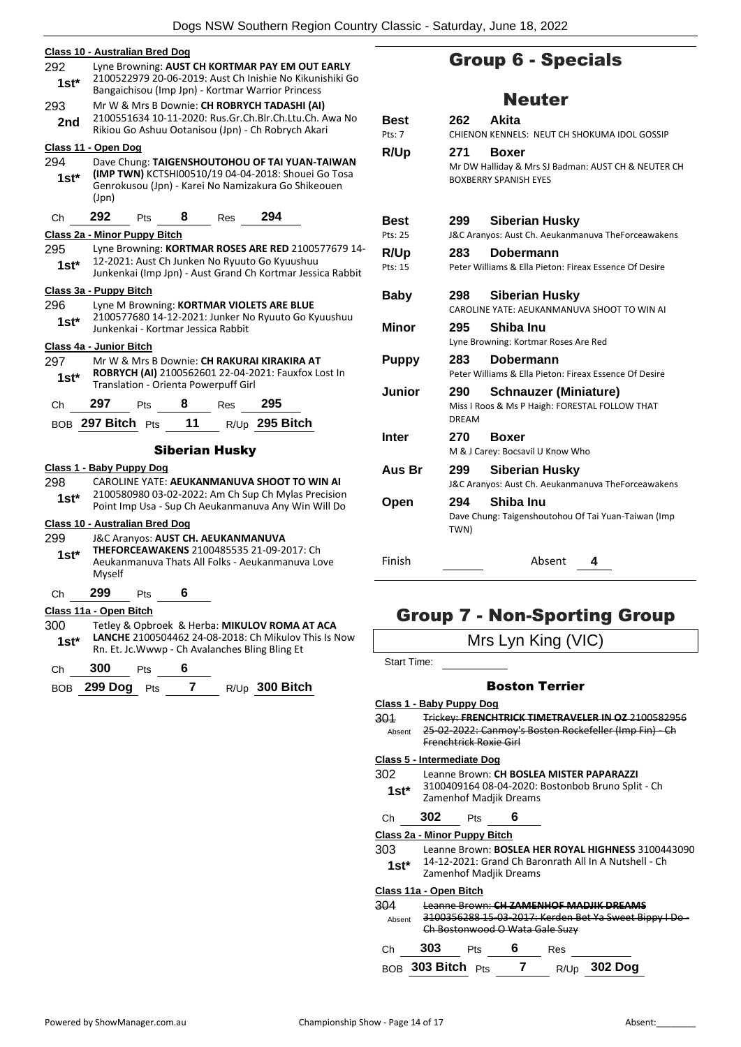|             | <b>Class 10 - Australian Bred Dog</b>        |                                      |    |                       |                                                                                                              |  |
|-------------|----------------------------------------------|--------------------------------------|----|-----------------------|--------------------------------------------------------------------------------------------------------------|--|
| 292<br>1st* |                                              |                                      |    |                       | Lyne Browning: AUST CH KORTMAR PAY EM OUT EARLY<br>2100522979 20-06-2019: Aust Ch Inishie No Kikunishiki Go  |  |
|             |                                              |                                      |    |                       | Bangaichisou (Imp Jpn) - Kortmar Warrior Princess                                                            |  |
| 293         | Mr W & Mrs B Downie: CH ROBRYCH TADASHI (AI) |                                      |    |                       |                                                                                                              |  |
| 2nd         |                                              |                                      |    |                       | 2100551634 10-11-2020: Rus.Gr.Ch.Blr.Ch.Ltu.Ch. Awa No<br>Rikiou Go Ashuu Ootanisou (Jpn) - Ch Robrych Akari |  |
|             | Class 11 - Open Dog                          |                                      |    |                       |                                                                                                              |  |
| 294         |                                              |                                      |    |                       | Dave Chung: TAIGENSHOUTOHOU OF TAI YUAN-TAIWAN                                                               |  |
| 1st*        | (Jpn)                                        |                                      |    |                       | (IMP TWN) KCTSHI00510/19 04-04-2018: Shouei Go Tosa<br>Genrokusou (Jpn) - Karei No Namizakura Go Shikeouen   |  |
| Ch          | 292                                          | Pts                                  | 8  | <b>Res</b>            | 294                                                                                                          |  |
|             | Class 2a - Minor Puppy Bitch                 |                                      |    |                       |                                                                                                              |  |
| 295         |                                              |                                      |    |                       | Lyne Browning: KORTMAR ROSES ARE RED 2100577679 14-                                                          |  |
| 1st*        |                                              |                                      |    |                       | 12-2021: Aust Ch Junken No Ryuuto Go Kyuushuu<br>Junkenkai (Imp Jpn) - Aust Grand Ch Kortmar Jessica Rabbit  |  |
|             | Class 3a - Puppy Bitch                       |                                      |    |                       |                                                                                                              |  |
| 296         |                                              |                                      |    |                       | Lyne M Browning: KORTMAR VIOLETS ARE BLUE                                                                    |  |
| 1st*        |                                              | Junkenkai - Kortmar Jessica Rabbit   |    |                       | 2100577680 14-12-2021: Junker No Ryuuto Go Kyuushuu                                                          |  |
|             | Class 4a - Junior Bitch                      |                                      |    |                       |                                                                                                              |  |
| 297         |                                              |                                      |    |                       | Mr W & Mrs B Downie: CH RAKURAI KIRAKIRA AT                                                                  |  |
| $1st^*$     |                                              | Translation - Orienta Powerpuff Girl |    |                       | ROBRYCH (AI) 2100562601 22-04-2021: Fauxfox Lost In                                                          |  |
| Ch          | 297                                          | Pts                                  | 8  | Res                   | 295                                                                                                          |  |
|             | BOB 297 Bitch Pts                            |                                      | 11 |                       | R/Up 295 Bitch                                                                                               |  |
|             |                                              |                                      |    | <b>Siberian Husky</b> |                                                                                                              |  |
|             | Class 1 - Baby Puppy Dog                     |                                      |    |                       |                                                                                                              |  |
| 298         |                                              |                                      |    |                       | CAROLINE YATE: AEUKANMANUVA SHOOT TO WIN AI                                                                  |  |
| 1st*        |                                              |                                      |    |                       | 2100580980 03-02-2022: Am Ch Sup Ch Mylas Precision<br>Point Imp Usa - Sup Ch Aeukanmanuva Any Win Will Do   |  |
|             | Class 10 - Australian Bred Dog               |                                      |    |                       |                                                                                                              |  |
| 299         |                                              | J&C Aranyos: AUST CH. AEUKANMANUVA   |    |                       |                                                                                                              |  |
| $1st^*$     |                                              |                                      |    |                       | THEFORCEAWAKENS 2100485535 21-09-2017: Ch                                                                    |  |
|             | Myself                                       |                                      |    |                       | Aeukanmanuva Thats All Folks - Aeukanmanuva Love                                                             |  |
| Сh          | 299                                          | Pts                                  | 6  |                       |                                                                                                              |  |
|             | Class 11a - Open Bitch                       |                                      |    |                       |                                                                                                              |  |
| 300         |                                              |                                      |    |                       | Tetley & Opbroek & Herba: MIKULOV ROMA AT ACA                                                                |  |
| $1st*$      |                                              |                                      |    |                       | <b>LANCHE 2100504462 24-08-2018: Ch Mikulov This Is Now</b>                                                  |  |
|             |                                              |                                      |    |                       | Rn. Et. Jc. Wwwp - Ch Avalanches Bling Bling Et                                                              |  |

| BOB 299 Dog Pts |  | R/Up 300 Bitch |
|-----------------|--|----------------|
|                 |  |                |

# Group 6 - Specials

# Neuter

| <b>Best</b><br>Pts: 7  | 262                 | Akita<br>CHIENON KENNELS: NEUT CH SHOKUMA IDOL GOSSIP                                        |
|------------------------|---------------------|----------------------------------------------------------------------------------------------|
| R/Up                   | 271                 | Boxer<br>Mr DW Halliday & Mrs SJ Badman: AUST CH & NEUTER CH<br><b>BOXBERRY SPANISH EYES</b> |
| <b>Best</b><br>Pts: 25 | 299                 | <b>Siberian Husky</b><br>J&C Aranyos: Aust Ch. Aeukanmanuva TheForceawakens                  |
| R/Up<br>Pts: 15        | 283.                | Dobermann<br>Peter Williams & Ella Pieton: Fireax Essence Of Desire                          |
| Baby                   | 298                 | <b>Siberian Husky</b><br>CAROLINE YATE: AEUKANMANUVA SHOOT TO WIN AI                         |
| Minor                  | 295                 | Shiba Inu<br>Lyne Browning: Kortmar Roses Are Red                                            |
| <b>Puppy</b>           | 283                 | Dobermann<br>Peter Williams & Ella Pieton: Fireax Essence Of Desire                          |
| Junior                 | 290<br><b>DREAM</b> | <b>Schnauzer (Miniature)</b><br>Miss I Roos & Ms P Haigh: FORESTAL FOLLOW THAT               |
| <b>Inter</b>           | 270                 | <b>Boxer</b><br>M & J Carey: Bocsavil U Know Who                                             |
| Aus Br                 | 299                 | <b>Siberian Husky</b><br>J&C Aranyos: Aust Ch. Aeukanmanuva TheForceawakens                  |
| Open                   | 294<br>TWN)         | Shiba Inu<br>Dave Chung: Taigenshoutohou Of Tai Yuan-Taiwan (Imp                             |
| Finish                 |                     | Absent<br>4                                                                                  |

# Group 7 - Non-Sporting Group Mrs Lyn King (VIC)

| Start Time:        |                                                                                                                                              |                                                                                                                                               |   |                       |                                                                                               |  |  |
|--------------------|----------------------------------------------------------------------------------------------------------------------------------------------|-----------------------------------------------------------------------------------------------------------------------------------------------|---|-----------------------|-----------------------------------------------------------------------------------------------|--|--|
|                    |                                                                                                                                              |                                                                                                                                               |   | <b>Boston Terrier</b> |                                                                                               |  |  |
|                    | Class 1 - Baby Puppy Dog                                                                                                                     |                                                                                                                                               |   |                       |                                                                                               |  |  |
| 301<br>Absent      |                                                                                                                                              | Trickey: FRENCHTRICK TIMETRAVELER IN QZ 2100582956<br>25-02-2022: Canmoy's Boston Rockefeller (Imp Fin) - Ch<br><b>Frenchtrick Roxie Girl</b> |   |                       |                                                                                               |  |  |
|                    | Class 5 - Intermediate Dog                                                                                                                   |                                                                                                                                               |   |                       |                                                                                               |  |  |
| 302<br>$1st*$      |                                                                                                                                              | Zamenhof Madjik Dreams                                                                                                                        |   |                       | Leanne Brown: CH BOSLEA MISTER PAPARAZZI<br>3100409164 08-04-2020: Bostonbob Bruno Split - Ch |  |  |
| Ch                 | 302                                                                                                                                          | Pts                                                                                                                                           | 6 |                       |                                                                                               |  |  |
|                    | Class 2a - Minor Puppy Bitch                                                                                                                 |                                                                                                                                               |   |                       |                                                                                               |  |  |
| 303<br>$1$ st $^*$ | Leanne Brown: <b>BOSLEA HER ROYAL HIGHNESS</b> 3100443090<br>14-12-2021: Grand Ch Baronrath All In A Nutshell - Ch<br>Zamenhof Madjik Dreams |                                                                                                                                               |   |                       |                                                                                               |  |  |
|                    | <u> Class 11a - Open Bitch</u>                                                                                                               |                                                                                                                                               |   |                       |                                                                                               |  |  |
| 304<br>Absent      |                                                                                                                                              | Ch Bostonwood O Wata Gale Suzy                                                                                                                |   |                       | Leanne Brown: CH ZAMENHOE MADJIK DREAMS<br>3100356288 15 03 2017: Kerden Bet Ya Sweet Bippy   |  |  |
| Ch                 | 303                                                                                                                                          | Pts                                                                                                                                           | 6 | Res                   |                                                                                               |  |  |
|                    | $_{\rm BOB}$ 303 Bitch $_{\rm Pfs}$                                                                                                          |                                                                                                                                               |   |                       | $R/Up$ 302 Dog                                                                                |  |  |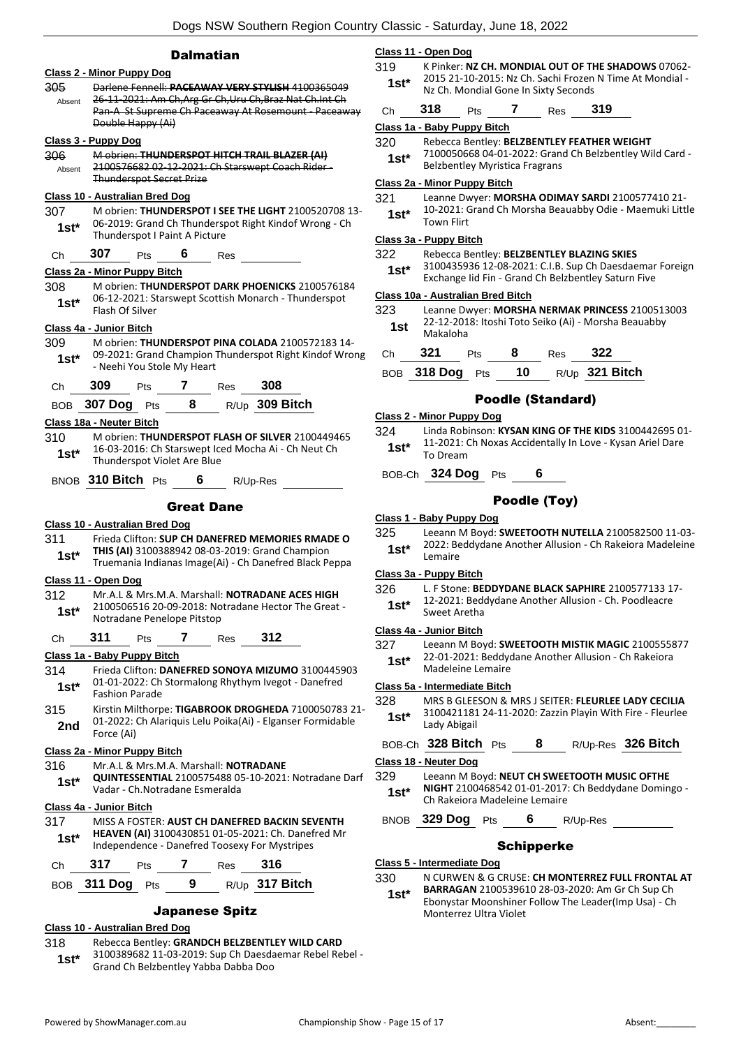# **Dalmatian**

|         | <b>Class 2 - Minor Puppy Dog</b>                                                                         |  |  |  |  |  |
|---------|----------------------------------------------------------------------------------------------------------|--|--|--|--|--|
| 305     | Darlene Fennell: PACEAWAY VERY STYLISH 4100365049                                                        |  |  |  |  |  |
| Absent  | 26-11-2021: Am Ch, Arg Gr Ch, Uru Ch, Braz Nat Ch. Int Ch                                                |  |  |  |  |  |
|         | Pan-A St Supreme Ch Paceaway At Rosemount - Paceaway<br>Double Happy (Ai)                                |  |  |  |  |  |
|         | <u> Class 3 - Puppy Dog</u>                                                                              |  |  |  |  |  |
| 306     | M obrien: THUNDERSPOT HITCH TRAIL BLAZER (AI)                                                            |  |  |  |  |  |
| Absent  | 2100576682 02 12 2021: Ch Starswept Coach Rider-                                                         |  |  |  |  |  |
|         | <b>Thunderspot Secret Prize</b>                                                                          |  |  |  |  |  |
|         | Class 10 - Australian Bred Dog                                                                           |  |  |  |  |  |
| 307     | M obrien: THUNDERSPOT I SEE THE LIGHT 2100520708 13-                                                     |  |  |  |  |  |
| $1st^*$ | 06-2019: Grand Ch Thunderspot Right Kindof Wrong - Ch                                                    |  |  |  |  |  |
|         | Thunderspot I Paint A Picture                                                                            |  |  |  |  |  |
| Ch      | <b>307</b> Pts 6 Res                                                                                     |  |  |  |  |  |
|         | Class 2a - Minor Puppy Bitch                                                                             |  |  |  |  |  |
| 308.    | M obrien: THUNDERSPOT DARK PHOENICKS 2100576184                                                          |  |  |  |  |  |
| 1st*    | 06-12-2021: Starswept Scottish Monarch - Thunderspot<br>Flash Of Silver                                  |  |  |  |  |  |
|         | Class 4a - Junior Bitch                                                                                  |  |  |  |  |  |
| 309.    | M obrien: THUNDERSPOT PINA COLADA 2100572183 14-                                                         |  |  |  |  |  |
| $1st*$  | 09-2021: Grand Champion Thunderspot Right Kindof Wrong                                                   |  |  |  |  |  |
|         | - Neehi You Stole My Heart                                                                               |  |  |  |  |  |
| Ch      | 309<br>Pts 7 Res 308                                                                                     |  |  |  |  |  |
|         | BOB 307 Dog Pts 8 R/Up 309 Bitch                                                                         |  |  |  |  |  |
|         |                                                                                                          |  |  |  |  |  |
|         | Class 18a - Neuter Bitch<br>M obrien: THUNDERSPOT FLASH OF SILVER 2100449465                             |  |  |  |  |  |
| 310     | 16-03-2016: Ch Starswept Iced Mocha Ai - Ch Neut Ch                                                      |  |  |  |  |  |
| 1st*    | Thunderspot Violet Are Blue                                                                              |  |  |  |  |  |
|         | BNOB $310$ Bitch $P$ ts<br>6 $R/Up-Res$                                                                  |  |  |  |  |  |
|         |                                                                                                          |  |  |  |  |  |
|         |                                                                                                          |  |  |  |  |  |
|         | <b>Great Dane</b>                                                                                        |  |  |  |  |  |
|         | <b>Class 10 - Australian Bred Dog</b>                                                                    |  |  |  |  |  |
| 311     | Frieda Clifton: SUP CH DANEFRED MEMORIES RMADE O                                                         |  |  |  |  |  |
| $1st*$  | THIS (AI) 3100388942 08-03-2019: Grand Champion                                                          |  |  |  |  |  |
|         | Truemania Indianas Image(Ai) - Ch Danefred Black Peppa                                                   |  |  |  |  |  |
|         | Class 11 - Open Dog                                                                                      |  |  |  |  |  |
| 312.    | Mr.A.L & Mrs.M.A. Marshall: NOTRADANE ACES HIGH                                                          |  |  |  |  |  |
| $1st*$  | 2100506516 20-09-2018: Notradane Hector The Great -<br>Notradane Penelope Pitstop                        |  |  |  |  |  |
|         |                                                                                                          |  |  |  |  |  |
| Сh      | $311$ Pts<br>7 Res<br>-312                                                                               |  |  |  |  |  |
|         | Class 1a - Baby Puppy Bitch                                                                              |  |  |  |  |  |
| 314     | Frieda Clifton: DANEFRED SONOYA MIZUMO 3100445903<br>01-01-2022: Ch Stormalong Rhythym Ivegot - Danefred |  |  |  |  |  |
| 1st*    | <b>Fashion Parade</b>                                                                                    |  |  |  |  |  |
| 315     | Kirstin Milthorpe: TIGABROOK DROGHEDA 7100050783 21-                                                     |  |  |  |  |  |
| 2nd     | 01-2022: Ch Alariquis Lelu Poika(Ai) - Elganser Formidable                                               |  |  |  |  |  |
|         | Force (Ai)                                                                                               |  |  |  |  |  |
|         | Class 2a - Minor Puppy Bitch                                                                             |  |  |  |  |  |
| 316     | Mr.A.L & Mrs.M.A. Marshall: NOTRADANE                                                                    |  |  |  |  |  |
| 1st*    | QUINTESSENTIAL 2100575488 05-10-2021: Notradane Darf<br>Vadar - Ch.Notradane Esmeralda                   |  |  |  |  |  |
|         | Class 4a - Junior Bitch                                                                                  |  |  |  |  |  |
| 317     | MISS A FOSTER: AUST CH DANEFRED BACKIN SEVENTH                                                           |  |  |  |  |  |
| 1st*    | HEAVEN (AI) 3100430851 01-05-2021: Ch. Danefred Mr                                                       |  |  |  |  |  |
|         | Independence - Danefred Toosexy For Mystripes                                                            |  |  |  |  |  |
| Сh      | 317<br>7<br>316<br><b>Pts</b><br><b>Res</b>                                                              |  |  |  |  |  |
| BOB     | R/Up 317 Bitch<br>311 Dog Pts<br>9                                                                       |  |  |  |  |  |

# Japanese Spitz

### **Class 10 - Australian Bred Dog**

#### 318 Rebecca Bentley: **GRANDCH BELZBENTLEY WILD CARD**

3100389682 11-03-2019: Sup Ch Daesdaemar Rebel Rebel - Grand Ch Belzbentley Yabba Dabba Doo **1st\***

#### **Class 11 - Open Dog**

- 319 K Pinker: **NZ CH. MONDIAL OUT OF THE SHADOWS** 07062- 2015 21-10-2015: Nz Ch. Sachi Frozen N Time At Mondial - 1st\* 2015 21-10-2015: Nz Ch. Sachi Frozen<br>Nz Ch. Mondial Gone In Sixty Seconds
- Ch **318** Pts **7** Res **319**

#### **Class 1a - Baby Puppy Bitch**

- 320 Rebecca Bentley: **BELZBENTLEY FEATHER WEIGHT**
- 7100050668 04-01-2022: Grand Ch Belzbentley Wild Card Belzbentley Myristica Fragrans **1st\***

### **Class 2a - Minor Puppy Bitch**

321 Leanne Dwyer: **MORSHA ODIMAY SARDI** 2100577410 21- 10-2021: Grand Ch Morsha Beauabby Odie - Maemuki Little 1st<sup>\*</sup> <sup>10-2021: \tml</sup>

#### **Class 3a - Puppy Bitch**

#### 322 Rebecca Bentley: **BELZBENTLEY BLAZING SKIES**

3100435936 12-08-2021: C.I.B. Sup Ch Daesdaemar Foreign **1st** 3100435936 12-08-2021: C.I.B. Sup Ch Daesdaemar<br>**1st** Exchange lid Fin - Grand Ch Belzbentley Saturn Five

#### **Class 10a - Australian Bred Bitch**

323 Leanne Dwyer: **MORSHA NERMAK PRINCESS** 2100513003 22-12-2018: Itoshi Toto Seiko (Ai) - Morsha Beauabby Makaloha **1st**

| Ch 321 Pts | <b>8</b> Res 322 |                                   |
|------------|------------------|-----------------------------------|
|            |                  | BOB 318 Dog Pts 10 R/Up 321 Bitch |

### Poodle (Standard)

#### **Class 2 - Minor Puppy Dog**

- 324 Linda Robinson: **KYSAN KING OF THE KIDS** 3100442695 01- 11-2021: Ch Noxas Accidentally In Love - Kysan Ariel Dare 1st<sup>\*</sup> <sup>11-2021: \</sup>
- BOB-Ch **324 Dog** Pts **6**

## Poodle (Toy)

#### **Class 1 - Baby Puppy Dog**

325 Leeann M Boyd: **SWEETOOTH NUTELLA** 2100582500 11-03- 2022: Beddydane Another Allusion - Ch Rakeiora Madeleine 1st<sup>\*</sup> <sup>2022: 86</sup><br>Lemaire

#### **Class 3a - Puppy Bitch**

326 L. F Stone: **BEDDYDANE BLACK SAPHIRE** 2100577133 17- 12-2021: Beddydane Another Allusion - Ch. Poodleacre Sweet Aretha **1st\***

#### **Class 4a - Junior Bitch**

327 Leeann M Boyd: **SWEETOOTH MISTIK MAGIC** 2100555877 22-01-2021: Beddydane Another Allusion - Ch Rakeiora **1st**\* <sup>22-01-2021: Beddy</sup>

#### **Class 5a - Intermediate Bitch**

- 328 MRS B GLEESON & MRS J SEITER: **FLEURLEE LADY CECILIA** 3100421181 24-11-2020: Zazzin Playin With Fire - Fleurlee Lady Abigail **1st\***
- BOB-Ch **328 Bitch** Pts **8** R/Up-Res **326 Bitch**

#### **Class 18 - Neuter Dog**

- 329 Leeann M Boyd: **NEUT CH SWEETOOTH MUSIC OFTHE** 
	- **NIGHT** 2100468542 01-01-2017: Ch Beddydane Domingo Ch Rakeiora Madeleine Lemaire **1st\***

# BNOB **329 Dog** Pts **6** R/Up-Res

#### Schipperke

**Class 5 - Intermediate Dog**

330 N CURWEN & G CRUSE: **CH MONTERREZ FULL FRONTAL AT** 

**BARRAGAN** 2100539610 28-03-2020: Am Gr Ch Sup Ch Ebonystar Moonshiner Follow The Leader(Imp Usa) - Ch Monterrez Ultra Violet **1st\***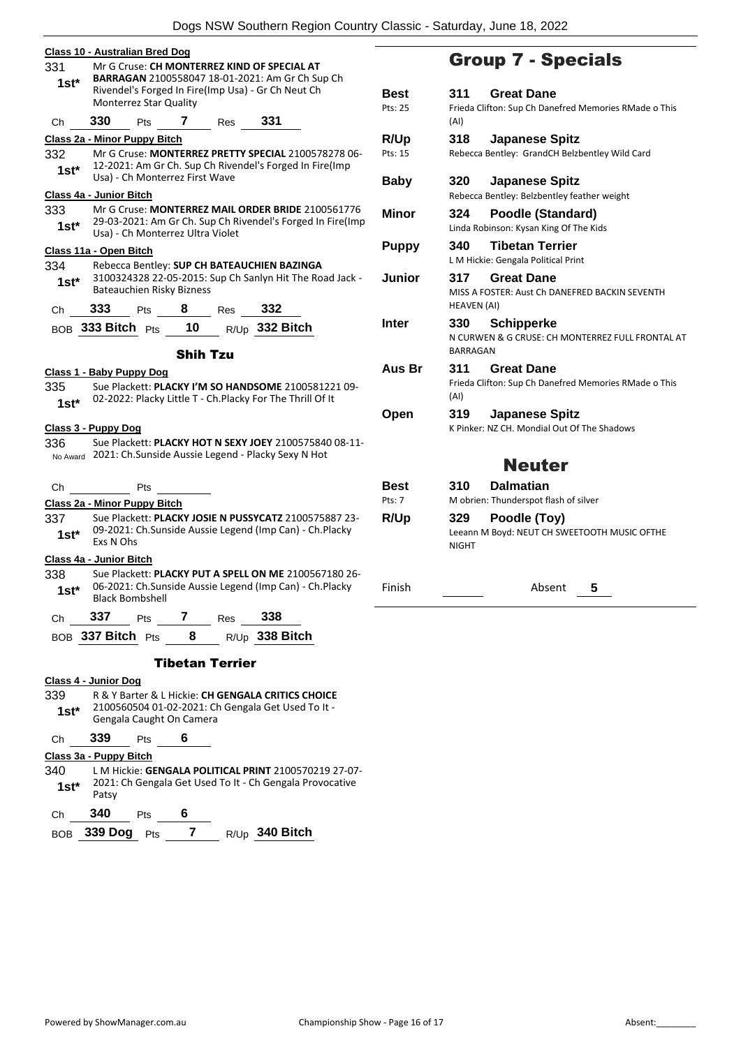| 331                                       |           | Class 10 - Australian Bred Dog   |                 |                        |                                                                                                                       |                | Grc                           |
|-------------------------------------------|-----------|----------------------------------|-----------------|------------------------|-----------------------------------------------------------------------------------------------------------------------|----------------|-------------------------------|
|                                           |           |                                  |                 |                        | Mr G Cruse: CH MONTERREZ KIND OF SPECIAL AT<br>BARRAGAN 2100558047 18-01-2021: Am Gr Ch Sup Ch                        |                |                               |
| $1st*$                                    |           |                                  |                 |                        | Rivendel's Forged In Fire(Imp Usa) - Gr Ch Neut Ch                                                                    | <b>Best</b>    | 311                           |
|                                           |           | <b>Monterrez Star Quality</b>    |                 |                        |                                                                                                                       | Pts: 25        | Frieda                        |
| Ch                                        | 330       |                                  | Pts 7 Res       |                        | 331                                                                                                                   |                | (AI)                          |
|                                           |           | Class 2a - Minor Puppy Bitch     |                 |                        |                                                                                                                       | R/Up           | 318                           |
| 332<br>$1st*$                             |           | Usa) - Ch Monterrez First Wave   |                 |                        | Mr G Cruse: MONTERREZ PRETTY SPECIAL 2100578278 06-<br>12-2021: Am Gr Ch. Sup Ch Rivendel's Forged In Fire(Imp        | Pts: 15        | Rebecc                        |
| Class 4a - Junior Bitch                   |           |                                  |                 |                        |                                                                                                                       | <b>Baby</b>    | 320<br>Rebecc                 |
| 333                                       |           |                                  |                 |                        | Mr G Cruse: MONTERREZ MAIL ORDER BRIDE 2100561776                                                                     | <b>Minor</b>   | 324                           |
| $1st^*$                                   |           | Usa) - Ch Monterrez Ultra Violet |                 |                        | 29-03-2021: Am Gr Ch. Sup Ch Rivendel's Forged In Fire(Imp                                                            |                | Linda R                       |
| Class 11a - Open Bitch                    |           |                                  |                 |                        |                                                                                                                       | <b>Puppy</b>   | 340                           |
| 334<br>$1st^*$                            |           | Bateauchien Risky Bizness        |                 |                        | Rebecca Bentley: SUP CH BATEAUCHIEN BAZINGA<br>3100324328 22-05-2015: Sup Ch Sanlyn Hit The Road Jack -               | Junior         | L M Hio<br>317<br>MISS A      |
| Ch                                        | 333       | Pts                              | 8               | Res                    | 332                                                                                                                   |                | <b>HEAVE</b>                  |
|                                           |           |                                  |                 |                        | BOB 333 Bitch Pts 10 R/Up 332 Bitch                                                                                   | <b>Inter</b>   | 330<br>N CURI                 |
|                                           |           |                                  | <b>Shih Tzu</b> |                        |                                                                                                                       |                | <b>BARRA</b>                  |
| 335<br>$1st^*$                            |           | Class 1 - Baby Puppy Dog         |                 |                        | Sue Plackett: PLACKY I'M SO HANDSOME 2100581221 09-<br>02-2022: Placky Little T - Ch.Placky For The Thrill Of It      | Aus Br<br>Open | 311<br>Frieda<br>(AI)<br>319  |
| <b>Class 3 - Puppy Dog</b>                |           |                                  |                 |                        |                                                                                                                       |                | K Pinke                       |
| 336                                       |           |                                  |                 |                        | Sue Plackett: PLACKY HOT N SEXY JOEY 2100575840 08-11-<br>No Award 2021: Ch.Sunside Aussie Legend - Placky Sexy N Hot |                |                               |
| Ch                                        |           | Pts                              |                 |                        |                                                                                                                       | Best           | 310                           |
|                                           |           | Class 2a - Minor Puppy Bitch     |                 |                        |                                                                                                                       | Pts: 7         | M obri                        |
| 337<br>$1st^*$                            | Exs N Ohs |                                  |                 |                        | Sue Plackett: PLACKY JOSIE N PUSSYCATZ 2100575887 23-<br>09-2021: Ch.Sunside Aussie Legend (Imp Can) - Ch.Placky      | R/Up           | 329<br>Leeann<br><b>NIGHT</b> |
|                                           |           |                                  |                 |                        |                                                                                                                       |                |                               |
|                                           |           |                                  |                 |                        | Sue Plackett: PLACKY PUT A SPELL ON ME 2100567180 26-                                                                 |                |                               |
| Class 4a - Junior Bitch<br>338<br>$1st^*$ |           | <b>Black Bombshell</b>           |                 |                        | 06-2021: Ch.Sunside Aussie Legend (Imp Can) - Ch.Placky                                                               | Finish         |                               |
|                                           |           |                                  |                 |                        |                                                                                                                       |                |                               |
| Ch                                        |           | <b>337</b> Pts <b>7</b> Res      |                 |                        | 338<br>BOB 337 Bitch Pts 8 $R/Up$ 338 Bitch                                                                           |                |                               |
|                                           |           |                                  |                 | <b>Tibetan Terrier</b> |                                                                                                                       |                |                               |
|                                           |           |                                  |                 |                        |                                                                                                                       |                |                               |
|                                           |           |                                  |                 |                        | R & Y Barter & L Hickie: CH GENGALA CRITICS CHOICE                                                                    |                |                               |
| Class 4 - Junior Dog<br>339<br>$1st^*$    |           | Gengala Caught On Camera         |                 |                        | 2100560504 01-02-2021: Ch Gengala Get Used To It -                                                                    |                |                               |
| Ch                                        |           | 339 Pts 6                        |                 |                        |                                                                                                                       |                |                               |

340 L M Hickie: **GENGALA POLITICAL PRINT** 2100570219 27-07- 2021: Ch Gengala Get Used To It - Ch Gengala Provocative **1st**\*  $\frac{2021}{\text{Patsy}}$ Ch **340** Pts **6**

| BOB 339 Dog Pts |  | $R/Up$ 340 Bitch |
|-----------------|--|------------------|
|                 |  |                  |

# oup 7 - Specials

| <b>Best</b>           | 311<br><b>Great Dane</b>                                                    |
|-----------------------|-----------------------------------------------------------------------------|
| Pts: 25               | Frieda Clifton: Sup Ch Danefred Memories RMade o This<br>(AI)               |
| <b>R/Up</b>           | <b>Japanese Spitz</b><br>318                                                |
| Pts: 15               | Rebecca Bentley: GrandCH Belzbentley Wild Card                              |
| <b>Baby</b>           | <b>Japanese Spitz</b><br>320<br>Rebecca Bentley: Belzbentley feather weight |
| Minor                 | Poodle (Standard)<br>324                                                    |
|                       | Linda Robinson: Kysan King Of The Kids                                      |
| <b>Puppy</b>          | 340<br><b>Tibetan Terrier</b><br>L M Hickie: Gengala Political Print        |
| Junior                | <b>Great Dane</b><br>317                                                    |
|                       | MISS A FOSTER: Aust Ch DANEFRED BACKIN SEVENTH<br><b>HEAVEN (AI)</b>        |
| Inter                 | 330<br><b>Schipperke</b>                                                    |
|                       | N CURWEN & G CRUSE: CH MONTERREZ FULL FRONTAL AT<br><b>BARRAGAN</b>         |
| Aus Br                | <b>Great Dane</b><br>311                                                    |
|                       | Frieda Clifton: Sup Ch Danefred Memories RMade o This<br>(AI)               |
| Open                  | 319<br><b>Japanese Spitz</b>                                                |
|                       | K Pinker: NZ CH. Mondial Out Of The Shadows                                 |
|                       | <b>Neuter</b>                                                               |
| Best                  | <b>Dalmatian</b><br>310                                                     |
| $P$ <sup>ts</sup> : 7 | M obrien: Thunderspot flash of silver                                       |
| R/Up                  | Poodle (Toy)<br>329                                                         |
|                       | Leeann M Boyd: NEUT CH SWEETOOTH MUSIC OFTHE<br><b>NIGHT</b>                |
|                       |                                                                             |

Absent 5